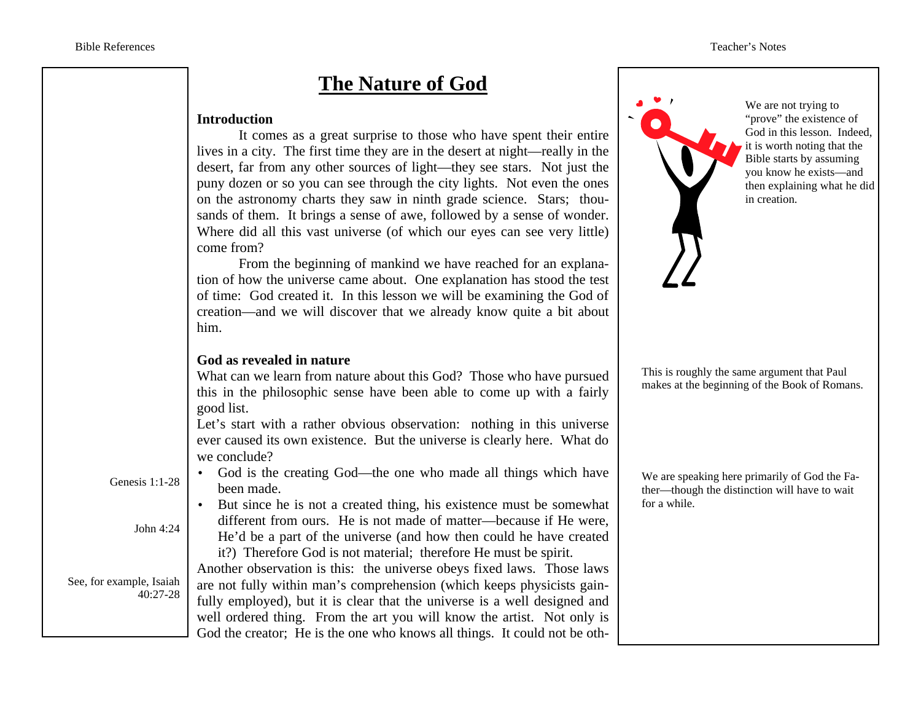## **The Nature of God**

#### **Introduction**

 It comes as a great surprise to those who have spent their entire lives in a city. The first time they are in the desert at night—really in the desert, far from any other sources of light—they see stars. Not just the puny dozen or so you can see through the city lights. Not even the ones on the astronomy charts they saw in ninth grade science. Stars; thousands of them. It brings a sense of awe, followed by a sense of wonder. Where did all this vast universe (of which our eyes can see very little) come from?

 From the beginning of mankind we have reached for an explanation of how the universe came about. One explanation has stood the test of time: God created it. In this lesson we will be examining the God of creation—and we will discover that we already know quite a bit about him.

#### **God as revealed in nature**

What can we learn from nature about this God? Those who have pursued this in the philosophic sense have been able to come up with a fairly good list.

Let's start with a rather obvious observation: nothing in this universe ever caused its own existence. But the universe is clearly here. What do we conclude?

Genesis 1:1-28

- God is the creating God—the one who made all things which have been made.
- But since he is not a created thing, his existence must be somewhat different from ours. He is not made of matter—because if He were, He'd be a part of the universe (and how then could he have created it?) Therefore God is not material; therefore He must be spirit.

Another observation is this: the universe obeys fixed laws. Those laws are not fully within man's comprehension (which keeps physicists gainfully employed), but it is clear that the universe is a well designed and well ordered thing. From the art you will know the artist. Not only is God the creator; He is the one who knows all things. It could not be oth-

We are not trying to "prove" the existence of God in this lesson. Indeed,  $\vec{v}$  it is worth noting that the Bible starts by assuming you know he exists—and then explaining what he did in creation.

This is roughly the same argument that Paul makes at the beginning of the Book of Romans.

We are speaking here primarily of God the Father—though the distinction will have to wait for a while.

John 4:24

See, for example, Isaiah 40:27-28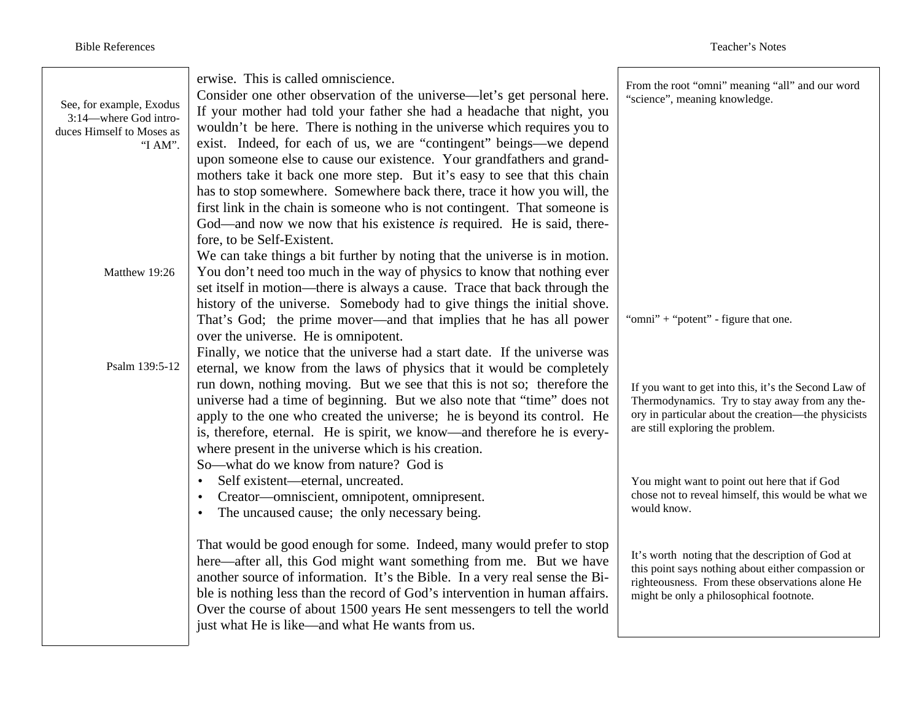| See, for example, Exodus<br>3:14—where God intro-<br>duces Himself to Moses as<br>"I AM". | erwise. This is called omniscience.<br>Consider one other observation of the universe—let's get personal here.<br>If your mother had told your father she had a headache that night, you<br>wouldn't be here. There is nothing in the universe which requires you to<br>exist. Indeed, for each of us, we are "contingent" beings—we depend<br>upon someone else to cause our existence. Your grandfathers and grand-<br>mothers take it back one more step. But it's easy to see that this chain<br>has to stop somewhere. Somewhere back there, trace it how you will, the<br>first link in the chain is someone who is not contingent. That someone is<br>God—and now we now that his existence is required. He is said, there-<br>fore, to be Self-Existent.<br>We can take things a bit further by noting that the universe is in motion. | From the root "omni" meaning "all" and our word<br>"science", meaning knowledge.                                                                                                                                                                  |
|-------------------------------------------------------------------------------------------|------------------------------------------------------------------------------------------------------------------------------------------------------------------------------------------------------------------------------------------------------------------------------------------------------------------------------------------------------------------------------------------------------------------------------------------------------------------------------------------------------------------------------------------------------------------------------------------------------------------------------------------------------------------------------------------------------------------------------------------------------------------------------------------------------------------------------------------------|---------------------------------------------------------------------------------------------------------------------------------------------------------------------------------------------------------------------------------------------------|
| Matthew 19:26                                                                             | You don't need too much in the way of physics to know that nothing ever<br>set itself in motion—there is always a cause. Trace that back through the<br>history of the universe. Somebody had to give things the initial shove.<br>That's God; the prime mover—and that implies that he has all power<br>over the universe. He is omnipotent.<br>Finally, we notice that the universe had a start date. If the universe was                                                                                                                                                                                                                                                                                                                                                                                                                    | "omni" + "potent" - figure that one.                                                                                                                                                                                                              |
| Psalm 139:5-12                                                                            | eternal, we know from the laws of physics that it would be completely<br>run down, nothing moving. But we see that this is not so; therefore the<br>universe had a time of beginning. But we also note that "time" does not<br>apply to the one who created the universe; he is beyond its control. He<br>is, therefore, eternal. He is spirit, we know—and therefore he is every-<br>where present in the universe which is his creation.<br>So—what do we know from nature? God is<br>Self existent—eternal, uncreated.<br>$\bullet$                                                                                                                                                                                                                                                                                                         | If you want to get into this, it's the Second Law of<br>Thermodynamics. Try to stay away from any the-<br>ory in particular about the creation—the physicists<br>are still exploring the problem.<br>You might want to point out here that if God |
|                                                                                           | Creator—omniscient, omnipotent, omnipresent.<br>$\bullet$<br>The uncaused cause; the only necessary being.<br>$\bullet$                                                                                                                                                                                                                                                                                                                                                                                                                                                                                                                                                                                                                                                                                                                        | chose not to reveal himself, this would be what we<br>would know.                                                                                                                                                                                 |
|                                                                                           | That would be good enough for some. Indeed, many would prefer to stop<br>here—after all, this God might want something from me. But we have<br>another source of information. It's the Bible. In a very real sense the Bi-<br>ble is nothing less than the record of God's intervention in human affairs.<br>Over the course of about 1500 years He sent messengers to tell the world<br>just what He is like—and what He wants from us.                                                                                                                                                                                                                                                                                                                                                                                                       | It's worth noting that the description of God at<br>this point says nothing about either compassion or<br>righteousness. From these observations alone He<br>might be only a philosophical footnote.                                              |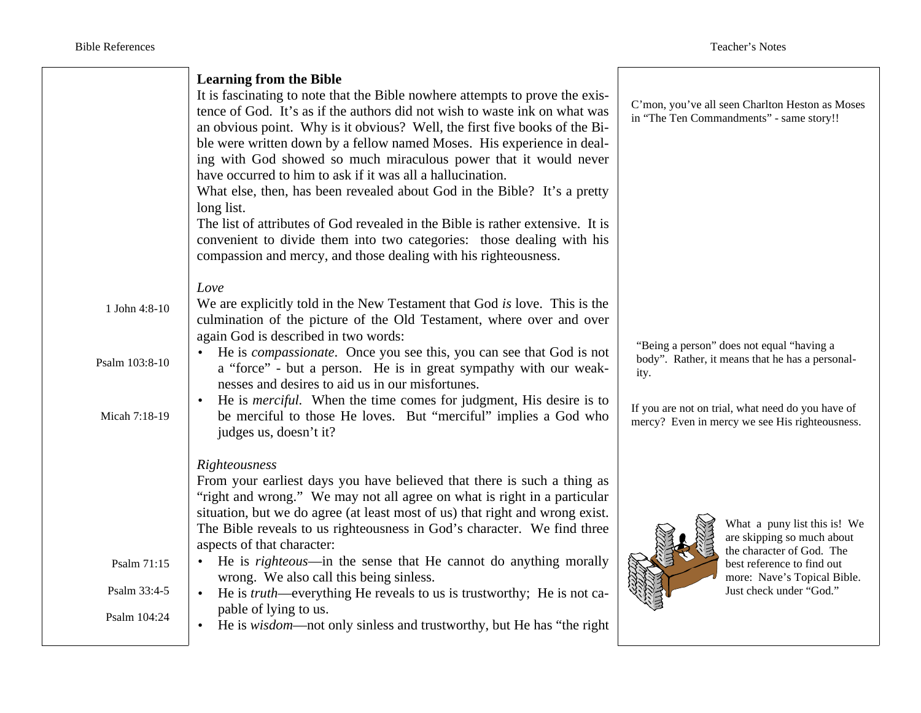|                | <b>Learning from the Bible</b><br>It is fascinating to note that the Bible nowhere attempts to prove the exis-<br>tence of God. It's as if the authors did not wish to waste ink on what was<br>an obvious point. Why is it obvious? Well, the first five books of the Bi-<br>ble were written down by a fellow named Moses. His experience in deal-<br>ing with God showed so much miraculous power that it would never<br>have occurred to him to ask if it was all a hallucination.<br>What else, then, has been revealed about God in the Bible? It's a pretty<br>long list.<br>The list of attributes of God revealed in the Bible is rather extensive. It is<br>convenient to divide them into two categories: those dealing with his<br>compassion and mercy, and those dealing with his righteousness. |      | C'mon, you've all seen Charlton Heston as Moses<br>in "The Ten Commandments" - same story!!         |
|----------------|----------------------------------------------------------------------------------------------------------------------------------------------------------------------------------------------------------------------------------------------------------------------------------------------------------------------------------------------------------------------------------------------------------------------------------------------------------------------------------------------------------------------------------------------------------------------------------------------------------------------------------------------------------------------------------------------------------------------------------------------------------------------------------------------------------------|------|-----------------------------------------------------------------------------------------------------|
|                | Love                                                                                                                                                                                                                                                                                                                                                                                                                                                                                                                                                                                                                                                                                                                                                                                                           |      |                                                                                                     |
| 1 John 4:8-10  | We are explicitly told in the New Testament that God is love. This is the<br>culmination of the picture of the Old Testament, where over and over                                                                                                                                                                                                                                                                                                                                                                                                                                                                                                                                                                                                                                                              |      |                                                                                                     |
|                | again God is described in two words:                                                                                                                                                                                                                                                                                                                                                                                                                                                                                                                                                                                                                                                                                                                                                                           |      |                                                                                                     |
| Psalm 103:8-10 | He is <i>compassionate</i> . Once you see this, you can see that God is not<br>a "force" - but a person. He is in great sympathy with our weak-<br>nesses and desires to aid us in our misfortunes.                                                                                                                                                                                                                                                                                                                                                                                                                                                                                                                                                                                                            | ity. | "Being a person" does not equal "having a<br>body". Rather, it means that he has a personal-        |
|                | He is <i>merciful</i> . When the time comes for judgment, His desire is to                                                                                                                                                                                                                                                                                                                                                                                                                                                                                                                                                                                                                                                                                                                                     |      |                                                                                                     |
| Micah 7:18-19  | be merciful to those He loves. But "merciful" implies a God who<br>judges us, doesn't it?                                                                                                                                                                                                                                                                                                                                                                                                                                                                                                                                                                                                                                                                                                                      |      | If you are not on trial, what need do you have of<br>mercy? Even in mercy we see His righteousness. |
|                | Righteousness                                                                                                                                                                                                                                                                                                                                                                                                                                                                                                                                                                                                                                                                                                                                                                                                  |      |                                                                                                     |
|                | From your earliest days you have believed that there is such a thing as                                                                                                                                                                                                                                                                                                                                                                                                                                                                                                                                                                                                                                                                                                                                        |      |                                                                                                     |
|                | "right and wrong." We may not all agree on what is right in a particular<br>situation, but we do agree (at least most of us) that right and wrong exist.                                                                                                                                                                                                                                                                                                                                                                                                                                                                                                                                                                                                                                                       |      |                                                                                                     |
|                | The Bible reveals to us righteousness in God's character. We find three                                                                                                                                                                                                                                                                                                                                                                                                                                                                                                                                                                                                                                                                                                                                        |      | What a puny list this is! We<br>are skipping so much about                                          |
|                | aspects of that character:<br>• He is <i>righteous</i> —in the sense that He cannot do anything morally                                                                                                                                                                                                                                                                                                                                                                                                                                                                                                                                                                                                                                                                                                        |      | the character of God. The                                                                           |
| Psalm 71:15    | wrong. We also call this being sinless.                                                                                                                                                                                                                                                                                                                                                                                                                                                                                                                                                                                                                                                                                                                                                                        |      | best reference to find out<br>more: Nave's Topical Bible.                                           |
| Psalm 33:4-5   | He is <i>truth</i> —everything He reveals to us is trustworthy; He is not ca-<br>$\bullet$                                                                                                                                                                                                                                                                                                                                                                                                                                                                                                                                                                                                                                                                                                                     |      | Just check under "God."                                                                             |
| Psalm 104:24   | pable of lying to us.<br>He is <i>wisdom</i> —not only sinless and trustworthy, but He has "the right"                                                                                                                                                                                                                                                                                                                                                                                                                                                                                                                                                                                                                                                                                                         |      |                                                                                                     |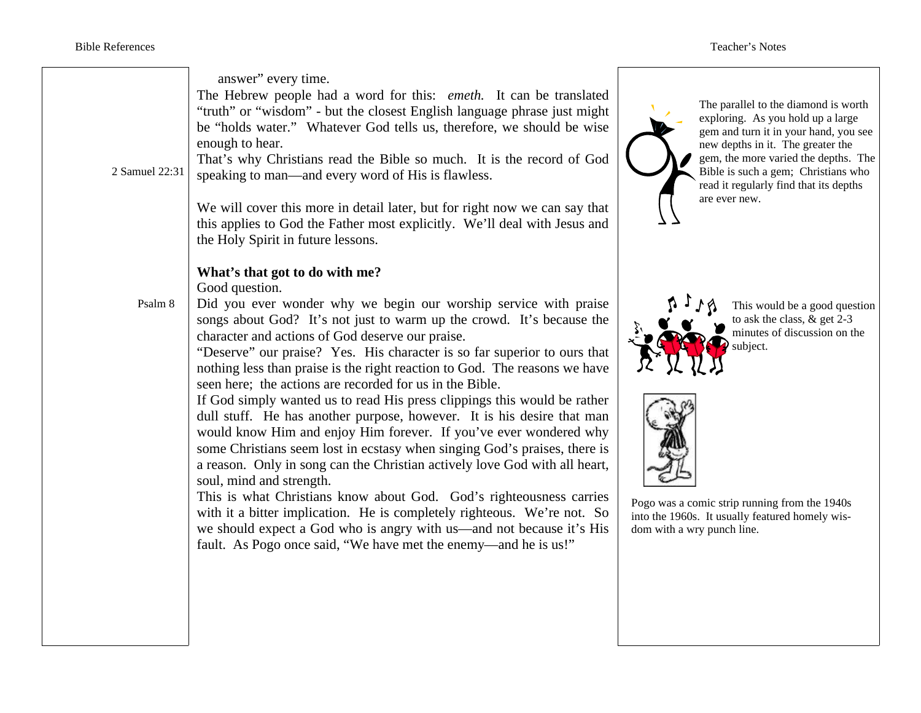| 2 Samuel 22:31 | answer" every time.<br>The Hebrew people had a word for this: emeth. It can be translated<br>"truth" or "wisdom" - but the closest English language phrase just might<br>be "holds water." Whatever God tells us, therefore, we should be wise<br>enough to hear.<br>That's why Christians read the Bible so much. It is the record of God<br>speaking to man—and every word of His is flawless.<br>We will cover this more in detail later, but for right now we can say that<br>this applies to God the Father most explicitly. We'll deal with Jesus and<br>the Holy Spirit in future lessons.                                                                                                                                                                                                                                                                                                                                                                                                                                                                                                                                                                                      | The parallel to the diamond is worth<br>exploring. As you hold up a large<br>gem and turn it in your hand, you see<br>new depths in it. The greater the<br>gem, the more varied the depths. The<br>Bible is such a gem; Christians who<br>read it regularly find that its depths<br>are ever new. |
|----------------|----------------------------------------------------------------------------------------------------------------------------------------------------------------------------------------------------------------------------------------------------------------------------------------------------------------------------------------------------------------------------------------------------------------------------------------------------------------------------------------------------------------------------------------------------------------------------------------------------------------------------------------------------------------------------------------------------------------------------------------------------------------------------------------------------------------------------------------------------------------------------------------------------------------------------------------------------------------------------------------------------------------------------------------------------------------------------------------------------------------------------------------------------------------------------------------|---------------------------------------------------------------------------------------------------------------------------------------------------------------------------------------------------------------------------------------------------------------------------------------------------|
| Psalm 8        | What's that got to do with me?<br>Good question.<br>Did you ever wonder why we begin our worship service with praise<br>songs about God? It's not just to warm up the crowd. It's because the<br>character and actions of God deserve our praise.<br>"Deserve" our praise? Yes. His character is so far superior to ours that<br>nothing less than praise is the right reaction to God. The reasons we have<br>seen here; the actions are recorded for us in the Bible.<br>If God simply wanted us to read His press clippings this would be rather<br>dull stuff. He has another purpose, however. It is his desire that man<br>would know Him and enjoy Him forever. If you've ever wondered why<br>some Christians seem lost in ecstasy when singing God's praises, there is<br>a reason. Only in song can the Christian actively love God with all heart,<br>soul, mind and strength.<br>This is what Christians know about God. God's righteousness carries<br>with it a bitter implication. He is completely righteous. We're not. So<br>we should expect a God who is angry with us—and not because it's His<br>fault. As Pogo once said, "We have met the enemy—and he is us!" | This would be a good question<br>to ask the class, $&$ get 2-3<br>minutes of discussion on the<br>subject.<br>Pogo was a comic strip running from the 1940s<br>into the 1960s. It usually featured homely wis-<br>dom with a wry punch line.                                                      |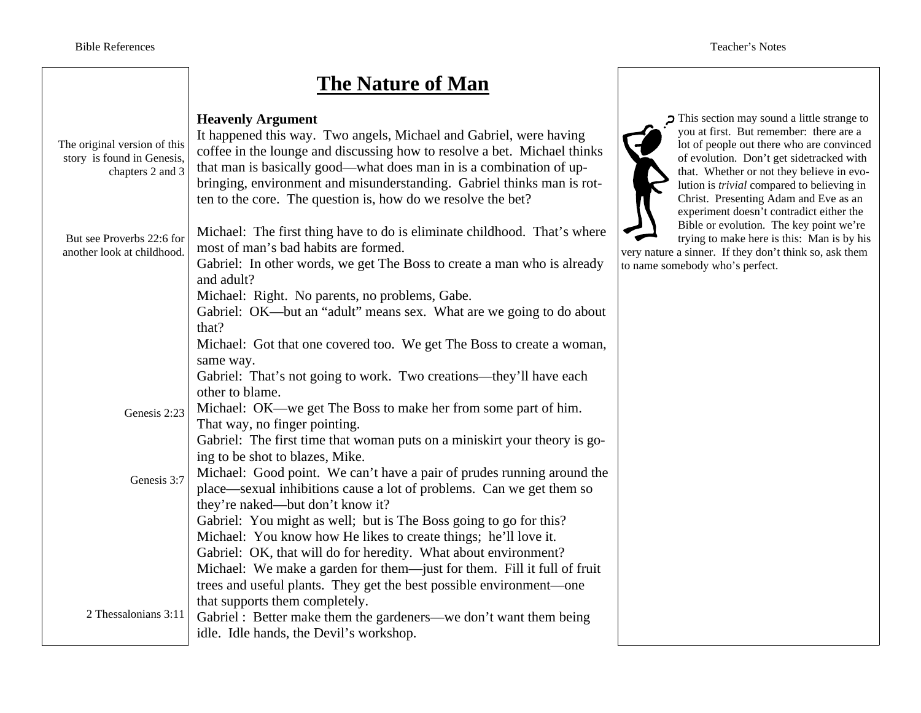## **The Nature of Man**

| The original version of this<br>story is found in Genesis,<br>chapters 2 and 3 | <b>Heavenly Argument</b><br>It happened this way. Two angels, Michael and Gabriel, were having<br>coffee in the lounge and discussing how to resolve a bet. Michael thinks<br>that man is basically good—what does man in is a combination of up-<br>bringing, environment and misunderstanding. Gabriel thinks man is rot-<br>ten to the core. The question is, how do we resolve the bet? |  |
|--------------------------------------------------------------------------------|---------------------------------------------------------------------------------------------------------------------------------------------------------------------------------------------------------------------------------------------------------------------------------------------------------------------------------------------------------------------------------------------|--|
| But see Proverbs 22:6 for<br>another look at childhood.                        | Michael: The first thing have to do is eliminate childhood. That's where<br>most of man's bad habits are formed.<br>Gabriel: In other words, we get The Boss to create a man who is already<br>and adult?                                                                                                                                                                                   |  |
|                                                                                | Michael: Right. No parents, no problems, Gabe.                                                                                                                                                                                                                                                                                                                                              |  |
|                                                                                |                                                                                                                                                                                                                                                                                                                                                                                             |  |
|                                                                                | Gabriel: OK—but an "adult" means sex. What are we going to do about<br>that?                                                                                                                                                                                                                                                                                                                |  |
|                                                                                | Michael: Got that one covered too. We get The Boss to create a woman,                                                                                                                                                                                                                                                                                                                       |  |
|                                                                                |                                                                                                                                                                                                                                                                                                                                                                                             |  |
|                                                                                | same way.                                                                                                                                                                                                                                                                                                                                                                                   |  |
|                                                                                | Gabriel: That's not going to work. Two creations—they'll have each                                                                                                                                                                                                                                                                                                                          |  |
|                                                                                | other to blame.                                                                                                                                                                                                                                                                                                                                                                             |  |
| Genesis 2:23                                                                   | Michael: OK—we get The Boss to make her from some part of him.                                                                                                                                                                                                                                                                                                                              |  |
|                                                                                | That way, no finger pointing.                                                                                                                                                                                                                                                                                                                                                               |  |
|                                                                                | Gabriel: The first time that woman puts on a miniskirt your theory is go-                                                                                                                                                                                                                                                                                                                   |  |
|                                                                                | ing to be shot to blazes, Mike.                                                                                                                                                                                                                                                                                                                                                             |  |
| Genesis 3:7                                                                    | Michael: Good point. We can't have a pair of prudes running around the                                                                                                                                                                                                                                                                                                                      |  |
|                                                                                | place—sexual inhibitions cause a lot of problems. Can we get them so                                                                                                                                                                                                                                                                                                                        |  |
|                                                                                | they're naked—but don't know it?                                                                                                                                                                                                                                                                                                                                                            |  |
|                                                                                | Gabriel: You might as well; but is The Boss going to go for this?                                                                                                                                                                                                                                                                                                                           |  |
|                                                                                | Michael: You know how He likes to create things; he'll love it.                                                                                                                                                                                                                                                                                                                             |  |
|                                                                                | Gabriel: OK, that will do for heredity. What about environment?                                                                                                                                                                                                                                                                                                                             |  |
|                                                                                | Michael: We make a garden for them—just for them. Fill it full of fruit                                                                                                                                                                                                                                                                                                                     |  |
|                                                                                | trees and useful plants. They get the best possible environment-one                                                                                                                                                                                                                                                                                                                         |  |
|                                                                                | that supports them completely.                                                                                                                                                                                                                                                                                                                                                              |  |
| 2 Thessalonians 3:11                                                           | Gabriel : Better make them the gardeners—we don't want them being                                                                                                                                                                                                                                                                                                                           |  |
|                                                                                | idle. Idle hands, the Devil's workshop.                                                                                                                                                                                                                                                                                                                                                     |  |

This section may sound a little strange to you at first. But remember: there are a lot of people out there who are convinced of evolution. Don't get sidetracked with that. Whether or not they believe in evolution is *trivial* compared to believing in Christ. Presenting Adam and Eve as an experiment doesn't contradict either the Bible or evolution. The key point we're trying to make here is this: Man is by his

very nature a sinner. If they don't think so, ask them to name somebody who's perfect.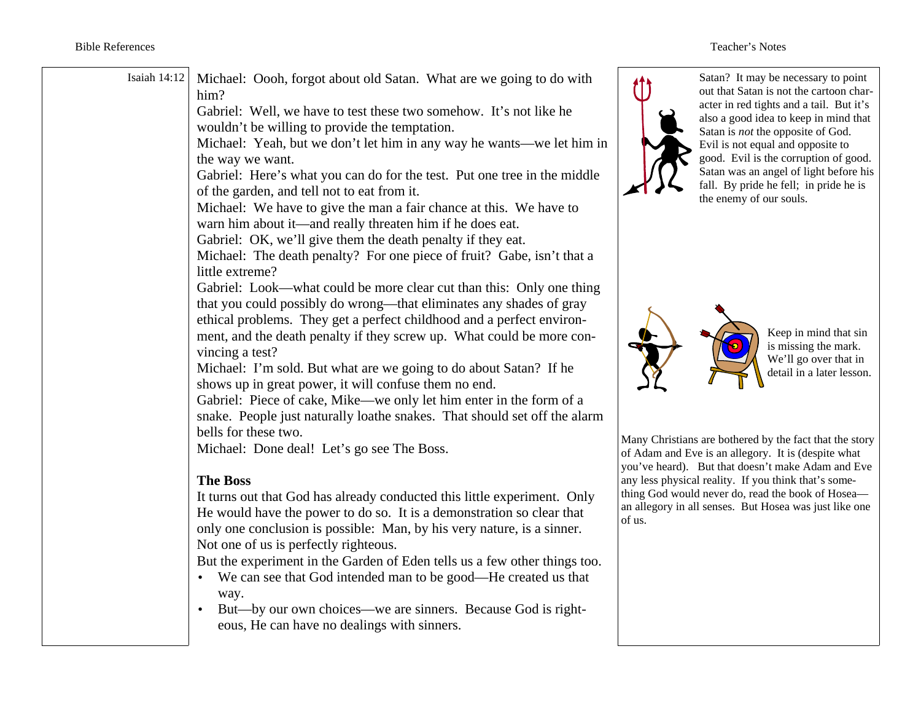| Isaiah 14:12 | Michael: Oooh, forgot about old Satan. What are we going to do with<br>him?<br>Gabriel: Well, we have to test these two somehow. It's not like he<br>wouldn't be willing to provide the temptation.<br>Michael: Yeah, but we don't let him in any way he wants—we let him in<br>the way we want.<br>Gabriel: Here's what you can do for the test. Put one tree in the middle<br>of the garden, and tell not to eat from it.<br>Michael: We have to give the man a fair chance at this. We have to<br>warn him about it—and really threaten him if he does eat.<br>Gabriel: OK, we'll give them the death penalty if they eat.<br>Michael: The death penalty? For one piece of fruit? Gabe, isn't that a<br>little extreme? |                                                                                                                                    | Satan? It 1<br>out that Sa<br>acter in red<br>also a goo<br>Satan is no<br>Evil is not<br>good. Evi<br>Satan was<br>fall. By pi<br>the enemy |
|--------------|----------------------------------------------------------------------------------------------------------------------------------------------------------------------------------------------------------------------------------------------------------------------------------------------------------------------------------------------------------------------------------------------------------------------------------------------------------------------------------------------------------------------------------------------------------------------------------------------------------------------------------------------------------------------------------------------------------------------------|------------------------------------------------------------------------------------------------------------------------------------|----------------------------------------------------------------------------------------------------------------------------------------------|
|              | Gabriel: Look—what could be more clear cut than this: Only one thing<br>that you could possibly do wrong—that eliminates any shades of gray<br>ethical problems. They get a perfect childhood and a perfect environ-<br>ment, and the death penalty if they screw up. What could be more con-<br>vincing a test?<br>Michael: I'm sold. But what are we going to do about Satan? If he<br>shows up in great power, it will confuse them no end.<br>Gabriel: Piece of cake, Mike—we only let him enter in the form of a<br>snake. People just naturally loathe snakes. That should set off the alarm<br>bells for these two.<br>Michael: Done deal! Let's go see The Boss.                                                   | Many Christians are bother<br>of Adam and Eve is an alle                                                                           |                                                                                                                                              |
|              | <b>The Boss</b><br>It turns out that God has already conducted this little experiment. Only<br>He would have the power to do so. It is a demonstration so clear that<br>only one conclusion is possible: Man, by his very nature, is a sinner.<br>Not one of us is perfectly righteous.<br>But the experiment in the Garden of Eden tells us a few other things too.<br>We can see that God intended man to be good—He created us that<br>way.<br>But—by our own choices—we are sinners. Because God is right-<br>eous, He can have no dealings with sinners.                                                                                                                                                              | you've heard). But that do<br>any less physical reality. If<br>thing God would never do,<br>an allegory in all senses. B<br>of us. |                                                                                                                                              |

may be necessary to point atan is not the cartoon chard tights and a tail. But it's d idea to keep in mind that ot the opposite of God. equal and opposite to 1 is the corruption of good. an angel of light before his ride he fell; in pride he is of our souls.



Keep in mind that sin is missing the mark. We'll go over that in detail in a later lesson.

ed by the fact that the story gory. It is (despite what pesn't make Adam and Eve iv you think that's someread the book of Hoseaaut Hosea was just like one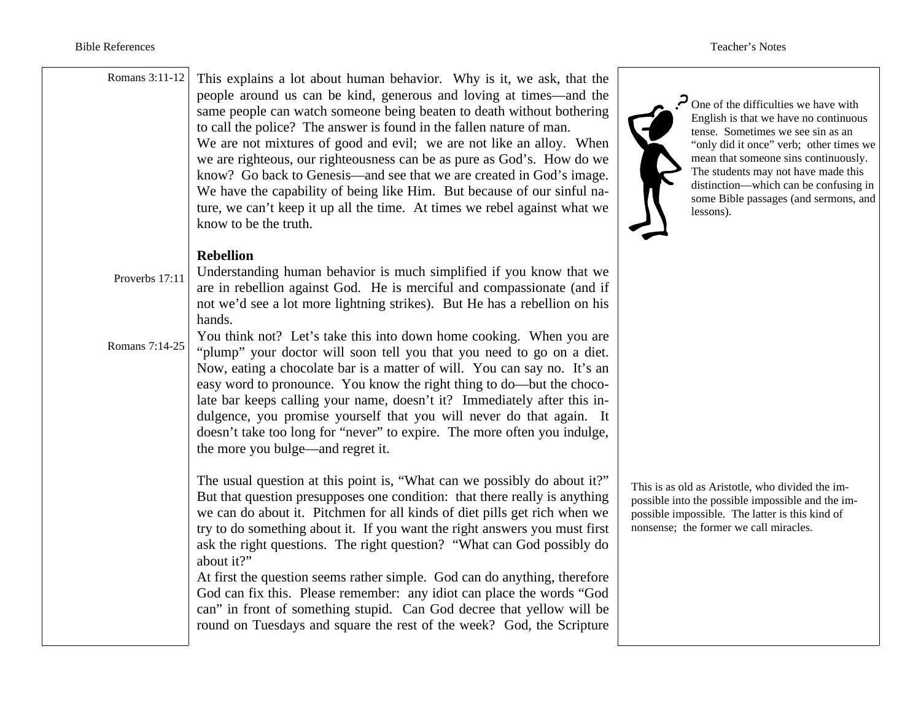| Romans 3:11-12 | This explains a lot about human behavior. Why is it, we ask, that the<br>people around us can be kind, generous and loving at times—and the<br>same people can watch someone being beaten to death without bothering<br>to call the police? The answer is found in the fallen nature of man.<br>We are not mixtures of good and evil; we are not like an alloy. When<br>we are righteous, our righteousness can be as pure as God's. How do we<br>know? Go back to Genesis—and see that we are created in God's image.<br>We have the capability of being like Him. But because of our sinful na-<br>ture, we can't keep it up all the time. At times we rebel against what we<br>know to be the truth. | One of the difficulties we have with<br>English is that we have no continuous<br>tense. Sometimes we see sin as an<br>"only did it once" verb; other times we<br>mean that someone sins continuously.<br>The students may not have made this<br>distinction—which can be confusing in<br>some Bible passages (and sermons, and<br>lessons). |
|----------------|---------------------------------------------------------------------------------------------------------------------------------------------------------------------------------------------------------------------------------------------------------------------------------------------------------------------------------------------------------------------------------------------------------------------------------------------------------------------------------------------------------------------------------------------------------------------------------------------------------------------------------------------------------------------------------------------------------|---------------------------------------------------------------------------------------------------------------------------------------------------------------------------------------------------------------------------------------------------------------------------------------------------------------------------------------------|
|                | <b>Rebellion</b>                                                                                                                                                                                                                                                                                                                                                                                                                                                                                                                                                                                                                                                                                        |                                                                                                                                                                                                                                                                                                                                             |
| Proverbs 17:11 | Understanding human behavior is much simplified if you know that we<br>are in rebellion against God. He is merciful and compassionate (and if                                                                                                                                                                                                                                                                                                                                                                                                                                                                                                                                                           |                                                                                                                                                                                                                                                                                                                                             |
|                | not we'd see a lot more lightning strikes). But He has a rebellion on his<br>hands.                                                                                                                                                                                                                                                                                                                                                                                                                                                                                                                                                                                                                     |                                                                                                                                                                                                                                                                                                                                             |
|                | You think not? Let's take this into down home cooking. When you are                                                                                                                                                                                                                                                                                                                                                                                                                                                                                                                                                                                                                                     |                                                                                                                                                                                                                                                                                                                                             |
| Romans 7:14-25 | "plump" your doctor will soon tell you that you need to go on a diet.<br>Now, eating a chocolate bar is a matter of will. You can say no. It's an<br>easy word to pronounce. You know the right thing to do—but the choco-<br>late bar keeps calling your name, doesn't it? Immediately after this in-<br>dulgence, you promise yourself that you will never do that again. It<br>doesn't take too long for "never" to expire. The more often you indulge,<br>the more you bulge—and regret it.                                                                                                                                                                                                         |                                                                                                                                                                                                                                                                                                                                             |
|                | The usual question at this point is, "What can we possibly do about it?"<br>But that question presupposes one condition: that there really is anything<br>we can do about it. Pitchmen for all kinds of diet pills get rich when we<br>try to do something about it. If you want the right answers you must first<br>ask the right questions. The right question? "What can God possibly do<br>about it?"                                                                                                                                                                                                                                                                                               | This is as old as Aristotle, who divided the im-<br>possible into the possible impossible and the im-<br>possible impossible. The latter is this kind of<br>nonsense; the former we call miracles.                                                                                                                                          |
|                | At first the question seems rather simple. God can do anything, therefore<br>God can fix this. Please remember: any idiot can place the words "God<br>can" in front of something stupid. Can God decree that yellow will be<br>round on Tuesdays and square the rest of the week? God, the Scripture                                                                                                                                                                                                                                                                                                                                                                                                    |                                                                                                                                                                                                                                                                                                                                             |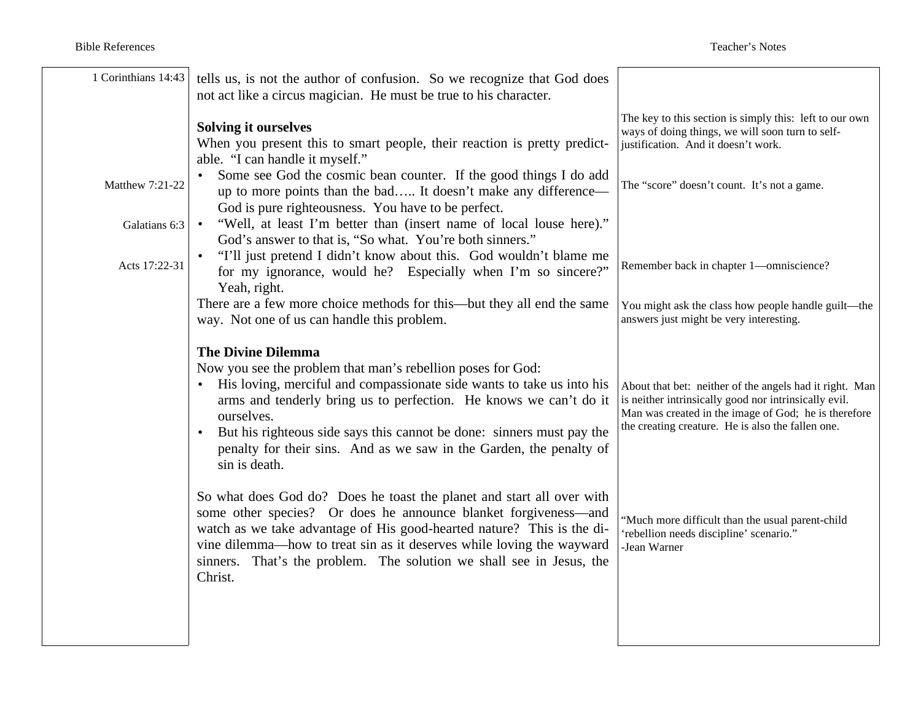| 1 Corinthians 14:43                               | tells us, is not the author of confusion. So we recognize that God does<br>not act like a circus magician. He must be true to his character.                                                                                                                                                                                                                                                                                                                                                                                                                                                                                     |                                                                                                                                                                                                                                              |
|---------------------------------------------------|----------------------------------------------------------------------------------------------------------------------------------------------------------------------------------------------------------------------------------------------------------------------------------------------------------------------------------------------------------------------------------------------------------------------------------------------------------------------------------------------------------------------------------------------------------------------------------------------------------------------------------|----------------------------------------------------------------------------------------------------------------------------------------------------------------------------------------------------------------------------------------------|
| Matthew 7:21-22<br>Galatians 6:3<br>Acts 17:22-31 | <b>Solving it ourselves</b><br>When you present this to smart people, their reaction is pretty predict-<br>able. "I can handle it myself."<br>Some see God the cosmic bean counter. If the good things I do add<br>up to more points than the bad It doesn't make any difference-<br>God is pure righteousness. You have to be perfect.<br>"Well, at least I'm better than (insert name of local louse here)."<br>God's answer to that is, "So what. You're both sinners."<br>"I'll just pretend I didn't know about this. God wouldn't blame me<br>for my ignorance, would he? Especially when I'm so sincere?"<br>Yeah, right. | The key to this section is simply this: left to our own<br>ways of doing things, we will soon turn to self-<br>justification. And it doesn't work.<br>The "score" doesn't count. It's not a game.<br>Remember back in chapter 1-omniscience? |
|                                                   | There are a few more choice methods for this—but they all end the same<br>way. Not one of us can handle this problem.                                                                                                                                                                                                                                                                                                                                                                                                                                                                                                            | You might ask the class how people handle guilt-the<br>answers just might be very interesting.                                                                                                                                               |
|                                                   | <b>The Divine Dilemma</b><br>Now you see the problem that man's rebellion poses for God:<br>His loving, merciful and compassionate side wants to take us into his<br>arms and tenderly bring us to perfection. He knows we can't do it<br>ourselves.<br>But his righteous side says this cannot be done: sinners must pay the<br>$\bullet$<br>penalty for their sins. And as we saw in the Garden, the penalty of<br>sin is death.                                                                                                                                                                                               | About that bet: neither of the angels had it right. Man<br>is neither intrinsically good nor intrinsically evil.<br>Man was created in the image of God; he is therefore<br>the creating creature. He is also the fallen one.                |
|                                                   | So what does God do? Does he toast the planet and start all over with<br>some other species? Or does he announce blanket forgiveness—and<br>watch as we take advantage of His good-hearted nature? This is the di-<br>vine dilemma-how to treat sin as it deserves while loving the wayward<br>sinners. That's the problem. The solution we shall see in Jesus, the<br>Christ.                                                                                                                                                                                                                                                   | "Much more difficult than the usual parent-child<br>'rebellion needs discipline' scenario."<br>Jean Warner                                                                                                                                   |
|                                                   |                                                                                                                                                                                                                                                                                                                                                                                                                                                                                                                                                                                                                                  |                                                                                                                                                                                                                                              |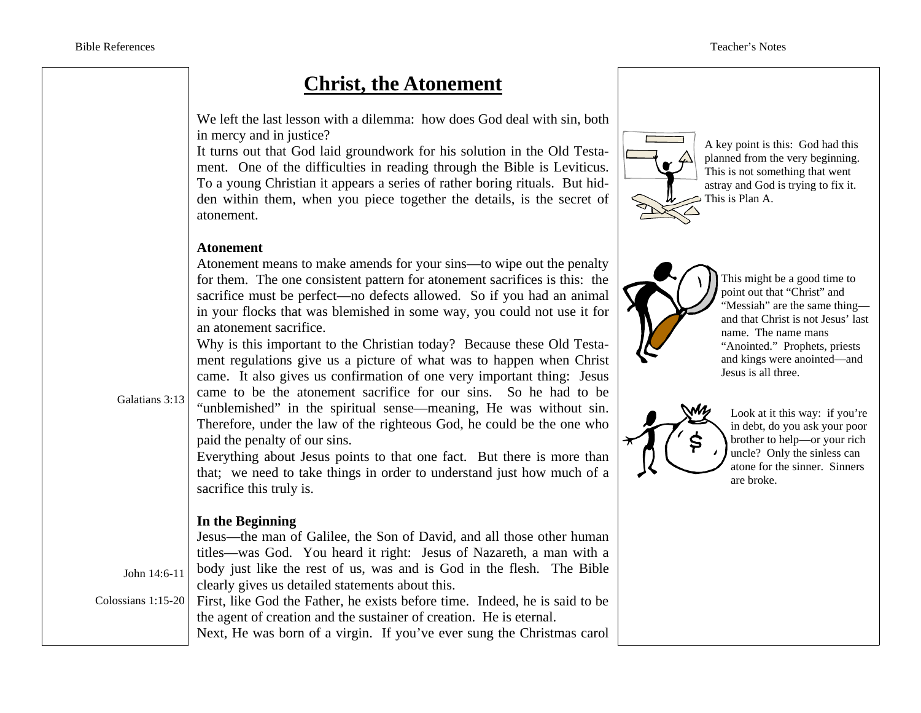Galatians 3:13

John 14:6-11

## **Christ, the Atonement**

We left the last lesson with a dilemma: how does God deal with sin, both in mercy and in justice?

It turns out that God laid groundwork for his solution in the Old Testament. One of the difficulties in reading through the Bible is Leviticus. To a young Christian it appears a series of rather boring rituals. But hidden within them, when you piece together the details, is the secret of atonement.

#### **Atonement**

Atonement means to make amends for your sins—to wipe out the penalty for them. The one consistent pattern for atonement sacrifices is this: the sacrifice must be perfect—no defects allowed. So if you had an animal in your flocks that was blemished in some way, you could not use it for an atonement sacrifice.

Why is this important to the Christian today? Because these Old Testament regulations give us a picture of what was to happen when Christ came. It also gives us confirmation of one very important thing: Jesus came to be the atonement sacrifice for our sins. So he had to be "unblemished" in the spiritual sense—meaning, He was without sin. Therefore, under the law of the righteous God, he could be the one who paid the penalty of our sins.

Everything about Jesus points to that one fact. But there is more than that; we need to take things in order to understand just how much of a sacrifice this truly is.

### **In the Beginning**

Jesus—the man of Galilee, the Son of David, and all those other human titles—was God. You heard it right: Jesus of Nazareth, a man with a body just like the rest of us, was and is God in the flesh. The Bible clearly gives us detailed statements about this.

Colossians 1:15-20 First, like God the Father, he exists before time. Indeed, he is said to be the agent of creation and the sustainer of creation. He is eternal. Next, He was born of a virgin. If you've ever sung the Christmas carol



A key point is this: God had this planned from the very beginning. This is not something that went astray and God is trying to fix it. This is Plan A.



This might be a good time to point out that "Christ" and "Messiah" are the same thing and that Christ is not Jesus' last name. The name mans "Anointed." Prophets, priests and kings were anointed—and Jesus is all three.



Look at it this way: if you're in debt, do you ask your poor brother to help—or your rich uncle? Only the sinless can atone for the sinner. Sinners are broke.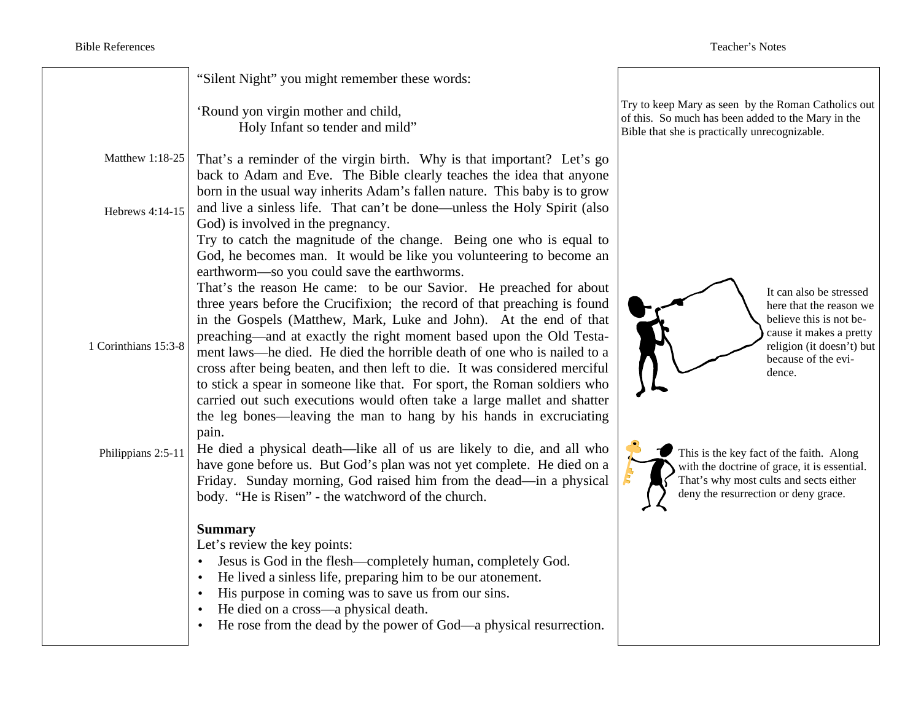|                      | "Silent Night" you might remember these words:                                                                                                                                                                                                                                                                                                                                                                                                                                                                                                                                                                                                                                    |                                                                                                                                                                            |
|----------------------|-----------------------------------------------------------------------------------------------------------------------------------------------------------------------------------------------------------------------------------------------------------------------------------------------------------------------------------------------------------------------------------------------------------------------------------------------------------------------------------------------------------------------------------------------------------------------------------------------------------------------------------------------------------------------------------|----------------------------------------------------------------------------------------------------------------------------------------------------------------------------|
|                      | 'Round yon virgin mother and child,<br>Holy Infant so tender and mild"                                                                                                                                                                                                                                                                                                                                                                                                                                                                                                                                                                                                            | Try to keep Mary as seen by the Roman Catholics out<br>of this. So much has been added to the Mary in the<br>Bible that she is practically unrecognizable.                 |
| Matthew 1:18-25      | That's a reminder of the virgin birth. Why is that important? Let's go<br>back to Adam and Eve. The Bible clearly teaches the idea that anyone                                                                                                                                                                                                                                                                                                                                                                                                                                                                                                                                    |                                                                                                                                                                            |
| Hebrews 4:14-15      | born in the usual way inherits Adam's fallen nature. This baby is to grow<br>and live a sinless life. That can't be done—unless the Holy Spirit (also<br>God) is involved in the pregnancy.<br>Try to catch the magnitude of the change. Being one who is equal to<br>God, he becomes man. It would be like you volunteering to become an<br>earthworm—so you could save the earthworms.                                                                                                                                                                                                                                                                                          |                                                                                                                                                                            |
| 1 Corinthians 15:3-8 | That's the reason He came: to be our Savior. He preached for about<br>three years before the Crucifixion; the record of that preaching is found<br>in the Gospels (Matthew, Mark, Luke and John). At the end of that<br>preaching—and at exactly the right moment based upon the Old Testa-<br>ment laws—he died. He died the horrible death of one who is nailed to a<br>cross after being beaten, and then left to die. It was considered merciful<br>to stick a spear in someone like that. For sport, the Roman soldiers who<br>carried out such executions would often take a large mallet and shatter<br>the leg bones—leaving the man to hang by his hands in excruciating | It can also be stressed<br>here that the reason we<br>believe this is not be-<br>cause it makes a pretty<br>religion (it doesn't) but<br>because of the evi-<br>dence.     |
| Philippians 2:5-11   | pain.<br>He died a physical death—like all of us are likely to die, and all who<br>have gone before us. But God's plan was not yet complete. He died on a<br>Friday. Sunday morning, God raised him from the dead—in a physical<br>body. "He is Risen" - the watchword of the church.                                                                                                                                                                                                                                                                                                                                                                                             | This is the key fact of the faith. Along<br>with the doctrine of grace, it is essential.<br>That's why most cults and sects either<br>deny the resurrection or deny grace. |
|                      | <b>Summary</b><br>Let's review the key points:<br>Jesus is God in the flesh—completely human, completely God.<br>$\bullet$<br>He lived a sinless life, preparing him to be our atonement.<br>$\bullet$<br>His purpose in coming was to save us from our sins.<br>$\bullet$<br>He died on a cross—a physical death.<br>$\bullet$<br>He rose from the dead by the power of God—a physical resurrection.                                                                                                                                                                                                                                                                             |                                                                                                                                                                            |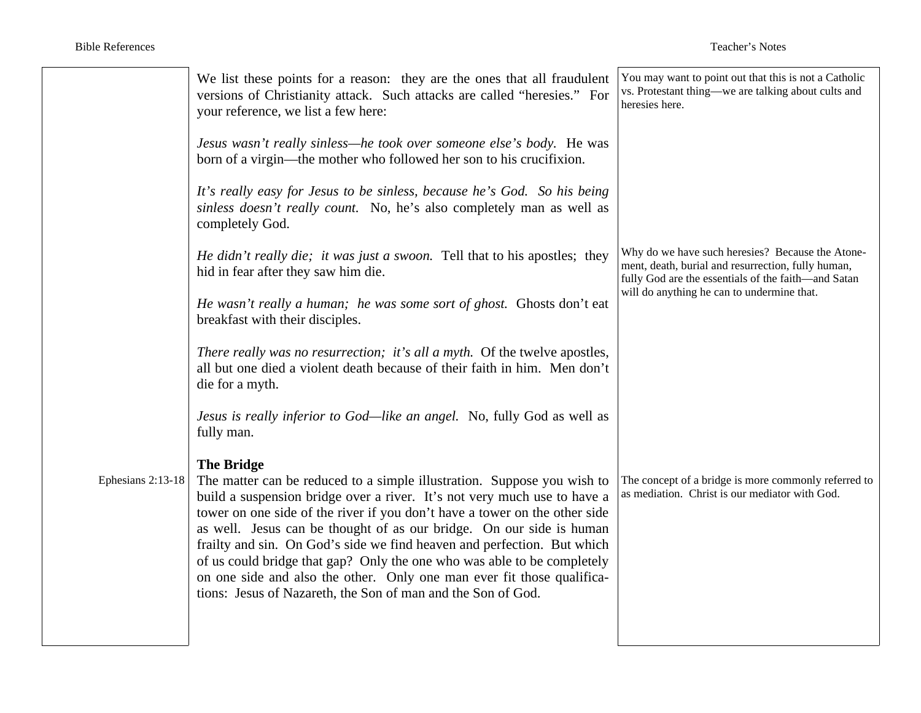|                     | We list these points for a reason: they are the ones that all fraudulent<br>versions of Christianity attack. Such attacks are called "heresies." For<br>your reference, we list a few here:                                                                                                                                                                                                                                                                                                                                                                                                                                    | You may want to point out that this is not a Catholic<br>vs. Protestant thing—we are talking about cults and<br>heresies here.                                |
|---------------------|--------------------------------------------------------------------------------------------------------------------------------------------------------------------------------------------------------------------------------------------------------------------------------------------------------------------------------------------------------------------------------------------------------------------------------------------------------------------------------------------------------------------------------------------------------------------------------------------------------------------------------|---------------------------------------------------------------------------------------------------------------------------------------------------------------|
|                     | Jesus wasn't really sinless—he took over someone else's body. He was<br>born of a virgin—the mother who followed her son to his crucifixion.                                                                                                                                                                                                                                                                                                                                                                                                                                                                                   |                                                                                                                                                               |
|                     | It's really easy for Jesus to be sinless, because he's God. So his being<br>sinless doesn't really count. No, he's also completely man as well as<br>completely God.                                                                                                                                                                                                                                                                                                                                                                                                                                                           |                                                                                                                                                               |
|                     | He didn't really die; it was just a swoon. Tell that to his apostles; they<br>hid in fear after they saw him die.                                                                                                                                                                                                                                                                                                                                                                                                                                                                                                              | Why do we have such heresies? Because the Atone-<br>ment, death, burial and resurrection, fully human,<br>fully God are the essentials of the faith-and Satan |
|                     | He wasn't really a human; he was some sort of ghost. Ghosts don't eat<br>breakfast with their disciples.                                                                                                                                                                                                                                                                                                                                                                                                                                                                                                                       | will do anything he can to undermine that.                                                                                                                    |
|                     | There really was no resurrection; it's all a myth. Of the twelve apostles,<br>all but one died a violent death because of their faith in him. Men don't<br>die for a myth.                                                                                                                                                                                                                                                                                                                                                                                                                                                     |                                                                                                                                                               |
|                     | Jesus is really inferior to God—like an angel. No, fully God as well as<br>fully man.                                                                                                                                                                                                                                                                                                                                                                                                                                                                                                                                          |                                                                                                                                                               |
| Ephesians $2:13-18$ | <b>The Bridge</b><br>The matter can be reduced to a simple illustration. Suppose you wish to<br>build a suspension bridge over a river. It's not very much use to have a<br>tower on one side of the river if you don't have a tower on the other side<br>as well. Jesus can be thought of as our bridge. On our side is human<br>frailty and sin. On God's side we find heaven and perfection. But which<br>of us could bridge that gap? Only the one who was able to be completely<br>on one side and also the other. Only one man ever fit those qualifica-<br>tions: Jesus of Nazareth, the Son of man and the Son of God. | The concept of a bridge is more commonly referred to<br>as mediation. Christ is our mediator with God.                                                        |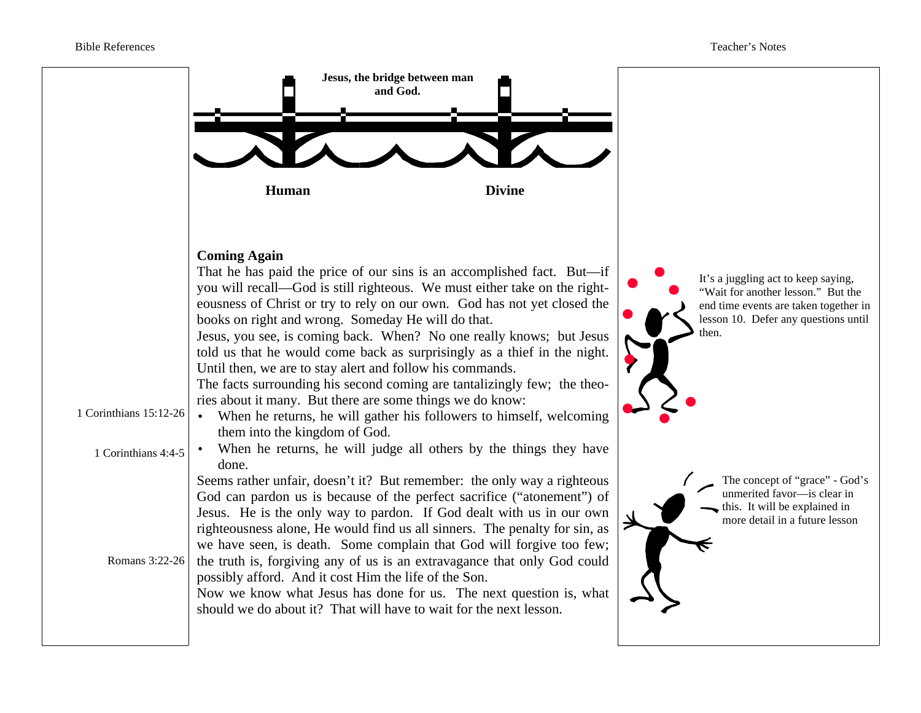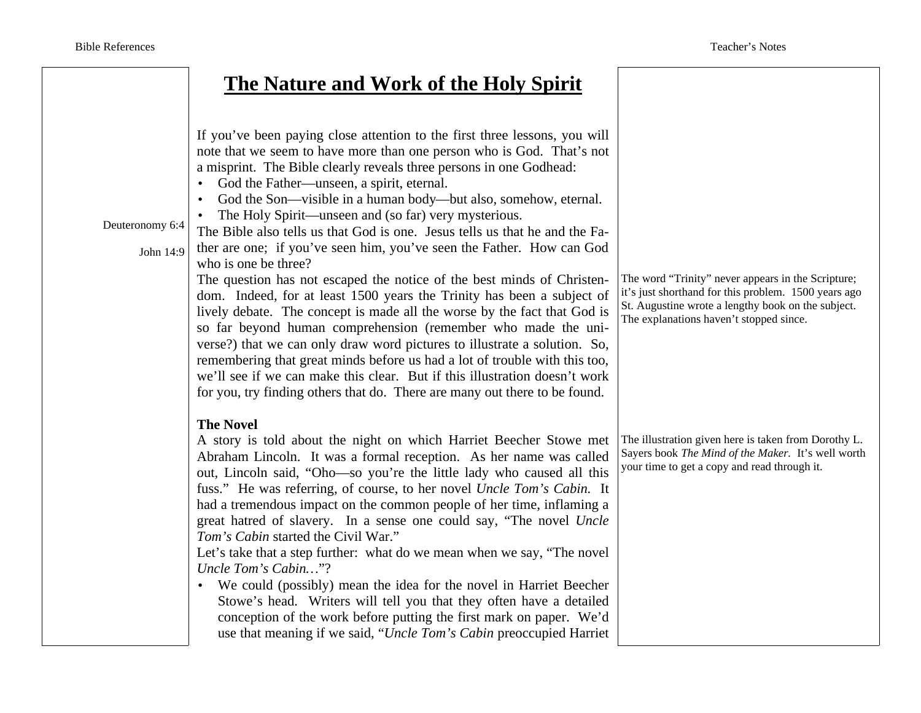# **The Nature and Work of the Holy Spirit**

| Deuteronomy 6:4<br>John 14:9 | If you've been paying close attention to the first three lessons, you will<br>note that we seem to have more than one person who is God. That's not<br>a misprint. The Bible clearly reveals three persons in one Godhead:<br>God the Father—unseen, a spirit, eternal.<br>$\bullet$<br>God the Son—visible in a human body—but also, somehow, eternal.<br>$\bullet$<br>The Holy Spirit-unseen and (so far) very mysterious.<br>$\bullet$<br>The Bible also tells us that God is one. Jesus tells us that he and the Fa-<br>ther are one; if you've seen him, you've seen the Father. How can God<br>who is one be three?<br>The question has not escaped the notice of the best minds of Christen-<br>dom. Indeed, for at least 1500 years the Trinity has been a subject of<br>lively debate. The concept is made all the worse by the fact that God is<br>so far beyond human comprehension (remember who made the uni-<br>verse?) that we can only draw word pictures to illustrate a solution. So,<br>remembering that great minds before us had a lot of trouble with this too,<br>we'll see if we can make this clear. But if this illustration doesn't work<br>for you, try finding others that do. There are many out there to be found. | The word "Trinity" never appears in the Scripture;<br>it's just shorthand for this problem. 1500 years ago<br>St. Augustine wrote a lengthy book on the subject.<br>The explanations haven't stopped since. |
|------------------------------|---------------------------------------------------------------------------------------------------------------------------------------------------------------------------------------------------------------------------------------------------------------------------------------------------------------------------------------------------------------------------------------------------------------------------------------------------------------------------------------------------------------------------------------------------------------------------------------------------------------------------------------------------------------------------------------------------------------------------------------------------------------------------------------------------------------------------------------------------------------------------------------------------------------------------------------------------------------------------------------------------------------------------------------------------------------------------------------------------------------------------------------------------------------------------------------------------------------------------------------------------|-------------------------------------------------------------------------------------------------------------------------------------------------------------------------------------------------------------|
|                              | <b>The Novel</b><br>A story is told about the night on which Harriet Beecher Stowe met<br>Abraham Lincoln. It was a formal reception. As her name was called<br>out, Lincoln said, "Oho—so you're the little lady who caused all this<br>fuss." He was referring, of course, to her novel Uncle Tom's Cabin. It<br>had a tremendous impact on the common people of her time, inflaming a<br>great hatred of slavery. In a sense one could say, "The novel Uncle<br>Tom's Cabin started the Civil War."<br>Let's take that a step further: what do we mean when we say, "The novel"<br>Uncle Tom's Cabin"?<br>We could (possibly) mean the idea for the novel in Harriet Beecher<br>$\bullet$<br>Stowe's head. Writers will tell you that they often have a detailed<br>conception of the work before putting the first mark on paper. We'd<br>use that meaning if we said, "Uncle Tom's Cabin preoccupied Harriet                                                                                                                                                                                                                                                                                                                                 | The illustration given here is taken from Dorothy L.<br>Sayers book The Mind of the Maker. It's well worth<br>your time to get a copy and read through it.                                                  |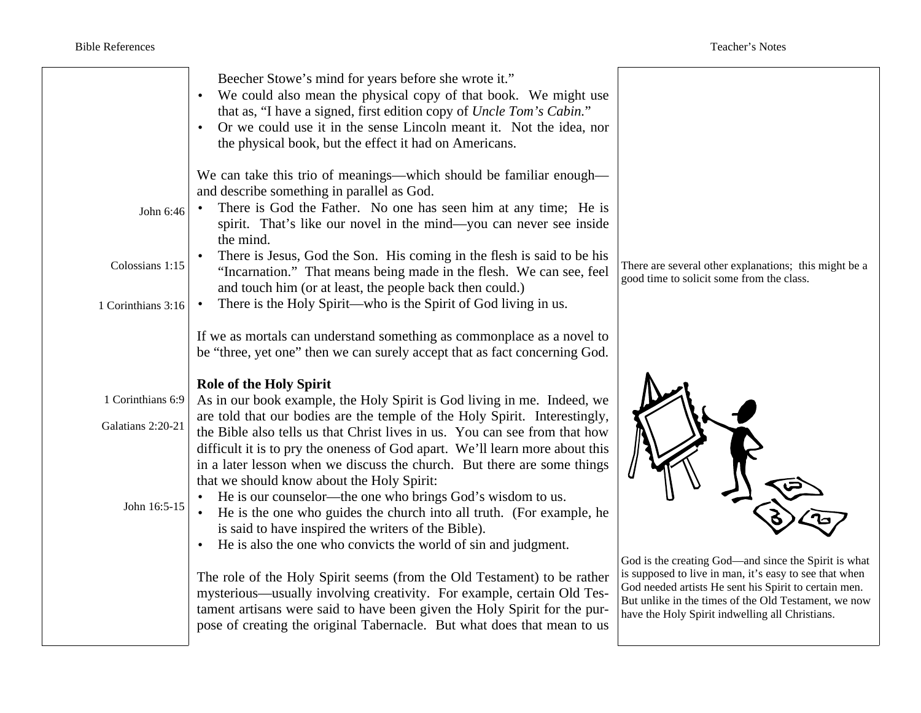| Beecher Stowe's mind for years before she wrote it."                                                                                                                                                                                                                                                                                                                                                                                                                                                                                                                                            |  |
|-------------------------------------------------------------------------------------------------------------------------------------------------------------------------------------------------------------------------------------------------------------------------------------------------------------------------------------------------------------------------------------------------------------------------------------------------------------------------------------------------------------------------------------------------------------------------------------------------|--|
| We could also mean the physical copy of that book. We might use<br>that as, "I have a signed, first edition copy of Uncle Tom's Cabin."<br>Or we could use it in the sense Lincoln meant it. Not the idea, nor<br>the physical book, but the effect it had on Americans.                                                                                                                                                                                                                                                                                                                        |  |
| We can take this trio of meanings—which should be familiar enough—<br>and describe something in parallel as God.<br>There is God the Father. No one has seen him at any time; He is<br>John 6:46<br>spirit. That's like our novel in the mind—you can never see inside<br>the mind.                                                                                                                                                                                                                                                                                                             |  |
| There is Jesus, God the Son. His coming in the flesh is said to be his<br>Colossians 1:15<br>There are several other explanations; this might be a<br>"Incarnation." That means being made in the flesh. We can see, feel<br>good time to solicit some from the class.<br>and touch him (or at least, the people back then could.)<br>There is the Holy Spirit—who is the Spirit of God living in us.<br>1 Corinthians 3:16                                                                                                                                                                     |  |
| If we as mortals can understand something as commonplace as a novel to<br>be "three, yet one" then we can surely accept that as fact concerning God.                                                                                                                                                                                                                                                                                                                                                                                                                                            |  |
| <b>Role of the Holy Spirit</b><br>1 Corinthians 6:9<br>As in our book example, the Holy Spirit is God living in me. Indeed, we                                                                                                                                                                                                                                                                                                                                                                                                                                                                  |  |
| are told that our bodies are the temple of the Holy Spirit. Interestingly,<br>Galatians 2:20-21<br>the Bible also tells us that Christ lives in us. You can see from that how<br>difficult it is to pry the oneness of God apart. We'll learn more about this<br>in a later lesson when we discuss the church. But there are some things<br>that we should know about the Holy Spirit:                                                                                                                                                                                                          |  |
| He is our counselor—the one who brings God's wisdom to us.<br>John 16:5-15<br>He is the one who guides the church into all truth. (For example, he<br>is said to have inspired the writers of the Bible).<br>He is also the one who convicts the world of sin and judgment.                                                                                                                                                                                                                                                                                                                     |  |
| God is the creating God—and since the Spirit is what<br>is supposed to live in man, it's easy to see that when<br>The role of the Holy Spirit seems (from the Old Testament) to be rather<br>God needed artists He sent his Spirit to certain men.<br>mysterious—usually involving creativity. For example, certain Old Tes-<br>But unlike in the times of the Old Testament, we now<br>tament artisans were said to have been given the Holy Spirit for the pur-<br>have the Holy Spirit indwelling all Christians.<br>pose of creating the original Tabernacle. But what does that mean to us |  |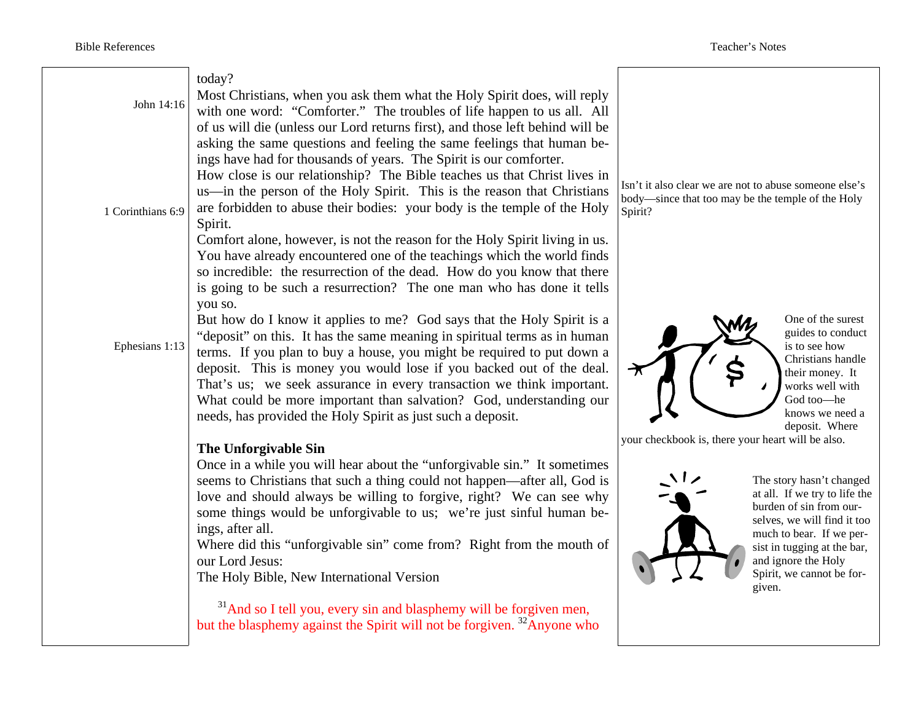| John 14:16        | today?<br>Most Christians, when you ask them what the Holy Spirit does, will reply<br>with one word: "Comforter." The troubles of life happen to us all. All<br>of us will die (unless our Lord returns first), and those left behind will be<br>asking the same questions and feeling the same feelings that human be-<br>ings have had for thousands of years. The Spirit is our comforter.<br>How close is our relationship? The Bible teaches us that Christ lives in                                                       |                                                                                                                                                                                                                                                                                                   |
|-------------------|---------------------------------------------------------------------------------------------------------------------------------------------------------------------------------------------------------------------------------------------------------------------------------------------------------------------------------------------------------------------------------------------------------------------------------------------------------------------------------------------------------------------------------|---------------------------------------------------------------------------------------------------------------------------------------------------------------------------------------------------------------------------------------------------------------------------------------------------|
| 1 Corinthians 6:9 | us—in the person of the Holy Spirit. This is the reason that Christians<br>are forbidden to abuse their bodies: your body is the temple of the Holy<br>Spirit.<br>Comfort alone, however, is not the reason for the Holy Spirit living in us.<br>You have already encountered one of the teachings which the world finds<br>so incredible: the resurrection of the dead. How do you know that there<br>is going to be such a resurrection? The one man who has done it tells                                                    | Isn't it also clear we are not to abuse someone else's<br>body—since that too may be the temple of the Holy<br>Spirit?                                                                                                                                                                            |
| Ephesians 1:13    | you so.<br>But how do I know it applies to me? God says that the Holy Spirit is a<br>"deposit" on this. It has the same meaning in spiritual terms as in human<br>terms. If you plan to buy a house, you might be required to put down a<br>deposit. This is money you would lose if you backed out of the deal.<br>That's us; we seek assurance in every transaction we think important.<br>What could be more important than salvation? God, understanding our<br>needs, has provided the Holy Spirit as just such a deposit. | One of the surest<br>guides to conduct<br>is to see how<br>Christians handle<br>their money. It<br>works well with<br>God too-he<br>knows we need a<br>deposit. Where                                                                                                                             |
|                   | The Unforgivable Sin<br>Once in a while you will hear about the "unforgivable sin." It sometimes<br>seems to Christians that such a thing could not happen—after all, God is<br>love and should always be willing to forgive, right? We can see why<br>some things would be unforgivable to us; we're just sinful human be-<br>ings, after all.<br>Where did this "unforgivable sin" come from? Right from the mouth of<br>our Lord Jesus:<br>The Holy Bible, New International Version                                         | your checkbook is, there your heart will be also.<br>The story hasn't changed<br>at all. If we try to life the<br>burden of sin from our-<br>selves, we will find it too<br>much to bear. If we per-<br>sist in tugging at the bar,<br>and ignore the Holy<br>Spirit, we cannot be for-<br>given. |
|                   | <sup>31</sup> And so I tell you, every sin and blasphemy will be forgiven men,<br>but the blasphemy against the Spirit will not be forgiven. <sup>32</sup> Anyone who                                                                                                                                                                                                                                                                                                                                                           |                                                                                                                                                                                                                                                                                                   |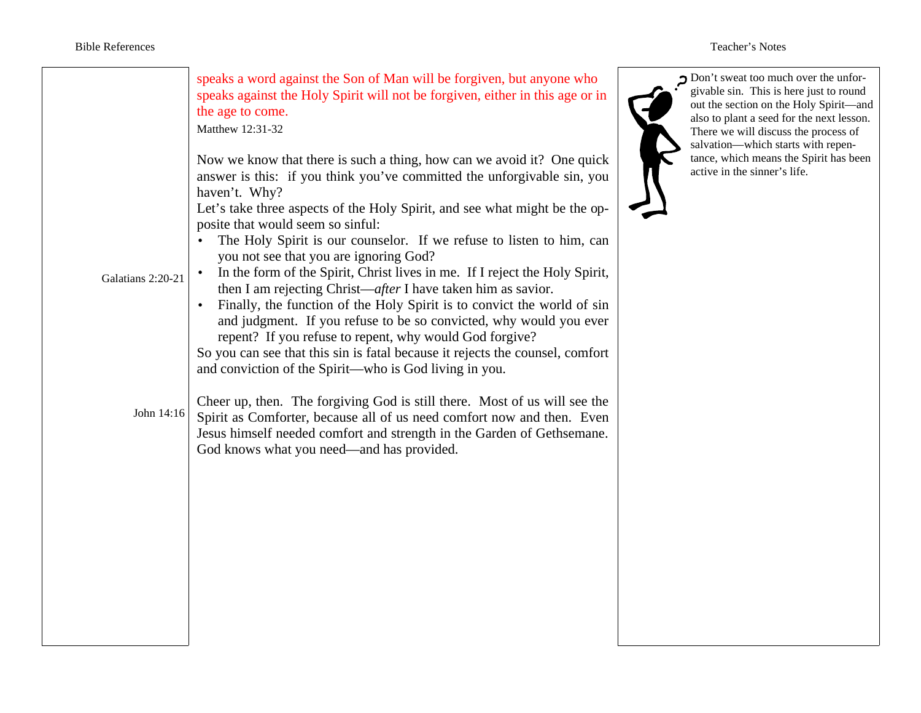| Galatians 2:20-21 | speaks a word against the Son of Man will be forgiven, but anyone who<br>speaks against the Holy Spirit will not be forgiven, either in this age or in<br>the age to come.<br>Matthew 12:31-32<br>Now we know that there is such a thing, how can we avoid it? One quick<br>answer is this: if you think you've committed the unforgivable sin, you<br>haven't. Why?<br>Let's take three aspects of the Holy Spirit, and see what might be the op-<br>posite that would seem so sinful:<br>The Holy Spirit is our counselor. If we refuse to listen to him, can<br>you not see that you are ignoring God?<br>In the form of the Spirit, Christ lives in me. If I reject the Holy Spirit,<br>then I am rejecting Christ—after I have taken him as savior.<br>Finally, the function of the Holy Spirit is to convict the world of sin<br>and judgment. If you refuse to be so convicted, why would you ever<br>repent? If you refuse to repent, why would God forgive?<br>So you can see that this sin is fatal because it rejects the counsel, comfort<br>and conviction of the Spirit—who is God living in you. | Don't sweat too much over the unfor-<br>givable sin. This is here just to round<br>out the section on the Holy Spirit-and<br>also to plant a seed for the next lesson.<br>There we will discuss the process of<br>salvation-which starts with repen-<br>tance, which means the Spirit has been<br>active in the sinner's life. |
|-------------------|-----------------------------------------------------------------------------------------------------------------------------------------------------------------------------------------------------------------------------------------------------------------------------------------------------------------------------------------------------------------------------------------------------------------------------------------------------------------------------------------------------------------------------------------------------------------------------------------------------------------------------------------------------------------------------------------------------------------------------------------------------------------------------------------------------------------------------------------------------------------------------------------------------------------------------------------------------------------------------------------------------------------------------------------------------------------------------------------------------------------|--------------------------------------------------------------------------------------------------------------------------------------------------------------------------------------------------------------------------------------------------------------------------------------------------------------------------------|
| John 14:16        | Cheer up, then. The forgiving God is still there. Most of us will see the<br>Spirit as Comforter, because all of us need comfort now and then. Even<br>Jesus himself needed comfort and strength in the Garden of Gethsemane.<br>God knows what you need—and has provided.                                                                                                                                                                                                                                                                                                                                                                                                                                                                                                                                                                                                                                                                                                                                                                                                                                      |                                                                                                                                                                                                                                                                                                                                |
|                   |                                                                                                                                                                                                                                                                                                                                                                                                                                                                                                                                                                                                                                                                                                                                                                                                                                                                                                                                                                                                                                                                                                                 |                                                                                                                                                                                                                                                                                                                                |
|                   |                                                                                                                                                                                                                                                                                                                                                                                                                                                                                                                                                                                                                                                                                                                                                                                                                                                                                                                                                                                                                                                                                                                 |                                                                                                                                                                                                                                                                                                                                |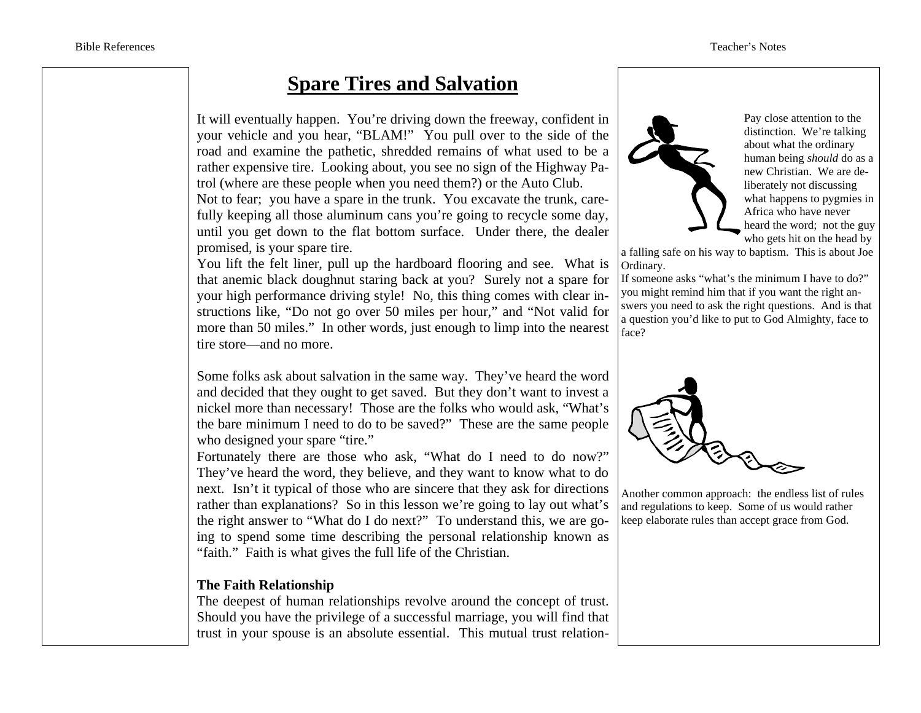## **Spare Tires and Salvation**

It will eventually happen. You're driving down the freeway, confident in your vehicle and you hear, "BLAM!" You pull over to the side of the road and examine the pathetic, shredded remains of what used to be a rather expensive tire. Looking about, you see no sign of the Highway Patrol (where are these people when you need them?) or the Auto Club.

Not to fear; you have a spare in the trunk. You excavate the trunk, carefully keeping all those aluminum cans you're going to recycle some day, until you get down to the flat bottom surface. Under there, the dealer promised, is your spare tire.

You lift the felt liner, pull up the hardboard flooring and see. What is that anemic black doughnut staring back at you? Surely not a spare for your high performance driving style! No, this thing comes with clear instructions like, "Do not go over 50 miles per hour," and "Not valid for more than 50 miles." In other words, just enough to limp into the nearest tire store—and no more.

Some folks ask about salvation in the same way. They've heard the word and decided that they ought to get saved. But they don't want to invest a nickel more than necessary! Those are the folks who would ask, "What's the bare minimum I need to do to be saved?" These are the same people who designed your spare "tire."

Fortunately there are those who ask, "What do I need to do now?" They've heard the word, they believe, and they want to know what to do next. Isn't it typical of those who are sincere that they ask for directions rather than explanations? So in this lesson we're going to lay out what's the right answer to "What do I do next?" To understand this, we are going to spend some time describing the personal relationship known as "faith." Faith is what gives the full life of the Christian.

#### **The Faith Relationship**

The deepest of human relationships revolve around the concept of trust. Should you have the privilege of a successful marriage, you will find that trust in your spouse is an absolute essential. This mutual trust relation-



Pay close attention to the distinction. We're talking about what the ordinary human being *should* do as a new Christian. We are deliberately not discussing what happens to pygmies in Africa who have never heard the word; not the guy who gets hit on the head by

a falling safe on his way to baptism. This is about Joe Ordinary.

If someone asks "what's the minimum I have to do?" you might remind him that if you want the right answers you need to ask the right questions. And is that a question you'd like to put to God Almighty, face to face?



Another common approach: the endless list of rules and regulations to keep. Some of us would rather keep elaborate rules than accept grace from God.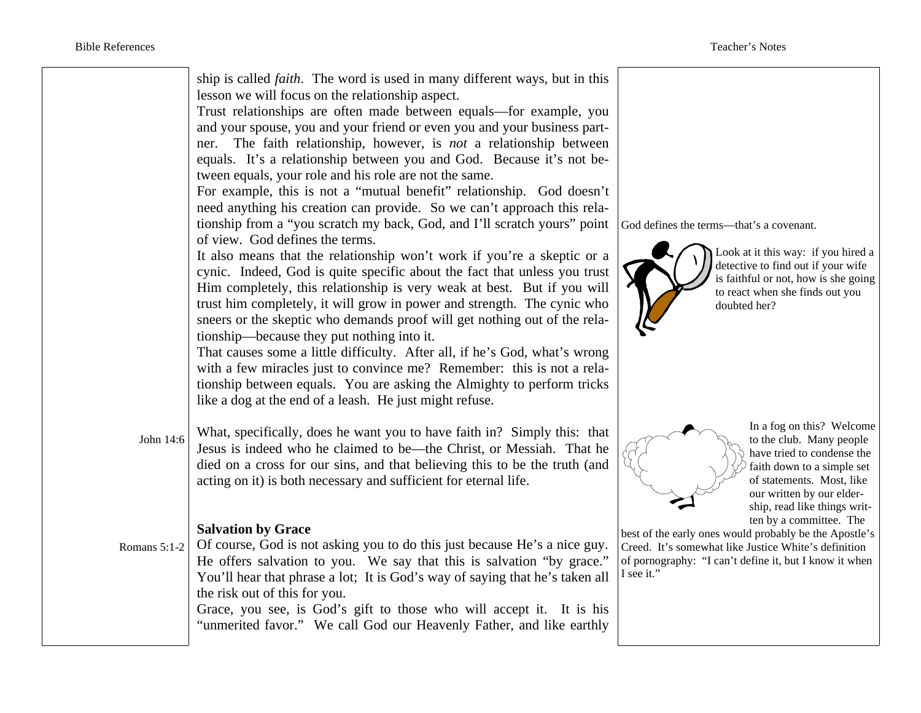|              | ship is called <i>faith</i> . The word is used in many different ways, but in this<br>lesson we will focus on the relationship aspect.<br>Trust relationships are often made between equals—for example, you<br>and your spouse, you and your friend or even you and your business part-<br>ner. The faith relationship, however, is not a relationship between<br>equals. It's a relationship between you and God. Because it's not be-<br>tween equals, your role and his role are not the same.<br>For example, this is not a "mutual benefit" relationship. God doesn't<br>need anything his creation can provide. So we can't approach this rela-<br>tionship from a "you scratch my back, God, and I'll scratch yours" point<br>of view. God defines the terms.<br>It also means that the relationship won't work if you're a skeptic or a<br>cynic. Indeed, God is quite specific about the fact that unless you trust<br>Him completely, this relationship is very weak at best. But if you will<br>trust him completely, it will grow in power and strength. The cynic who<br>sneers or the skeptic who demands proof will get nothing out of the rela-<br>tionship—because they put nothing into it.<br>That causes some a little difficulty. After all, if he's God, what's wrong<br>with a few miracles just to convince me? Remember: this is not a rela-<br>tionship between equals. You are asking the Almighty to perform tricks<br>like a dog at the end of a leash. He just might refuse. | God defines the terms--- that's a covenant.<br>Look at it this way: if you hired a<br>detective to find out if your wife<br>is faithful or not, how is she going<br>to react when she finds out you<br>doubted her? |
|--------------|-------------------------------------------------------------------------------------------------------------------------------------------------------------------------------------------------------------------------------------------------------------------------------------------------------------------------------------------------------------------------------------------------------------------------------------------------------------------------------------------------------------------------------------------------------------------------------------------------------------------------------------------------------------------------------------------------------------------------------------------------------------------------------------------------------------------------------------------------------------------------------------------------------------------------------------------------------------------------------------------------------------------------------------------------------------------------------------------------------------------------------------------------------------------------------------------------------------------------------------------------------------------------------------------------------------------------------------------------------------------------------------------------------------------------------------------------------------------------------------------------------------|---------------------------------------------------------------------------------------------------------------------------------------------------------------------------------------------------------------------|
| John 14:6    | What, specifically, does he want you to have faith in? Simply this: that<br>Jesus is indeed who he claimed to be—the Christ, or Messiah. That he<br>died on a cross for our sins, and that believing this to be the truth (and<br>acting on it) is both necessary and sufficient for eternal life.                                                                                                                                                                                                                                                                                                                                                                                                                                                                                                                                                                                                                                                                                                                                                                                                                                                                                                                                                                                                                                                                                                                                                                                                          | In a fog on this? Welcome<br>to the club. Many people<br>have tried to condense the<br>faith down to a simple set<br>of statements. Most, like<br>our written by our elder-<br>ship, read like things writ-         |
| Romans 5:1-2 | <b>Salvation by Grace</b><br>Of course, God is not asking you to do this just because He's a nice guy.<br>He offers salvation to you. We say that this is salvation "by grace."<br>You'll hear that phrase a lot; It is God's way of saying that he's taken all<br>the risk out of this for you.<br>Grace, you see, is God's gift to those who will accept it. It is his<br>"unmerited favor." We call God our Heavenly Father, and like earthly                                                                                                                                                                                                                                                                                                                                                                                                                                                                                                                                                                                                                                                                                                                                                                                                                                                                                                                                                                                                                                                            | ten by a committee. The<br>best of the early ones would probably be the Apostle's<br>Creed. It's somewhat like Justice White's definition<br>of pornography: "I can't define it, but I know it when<br>I see it."   |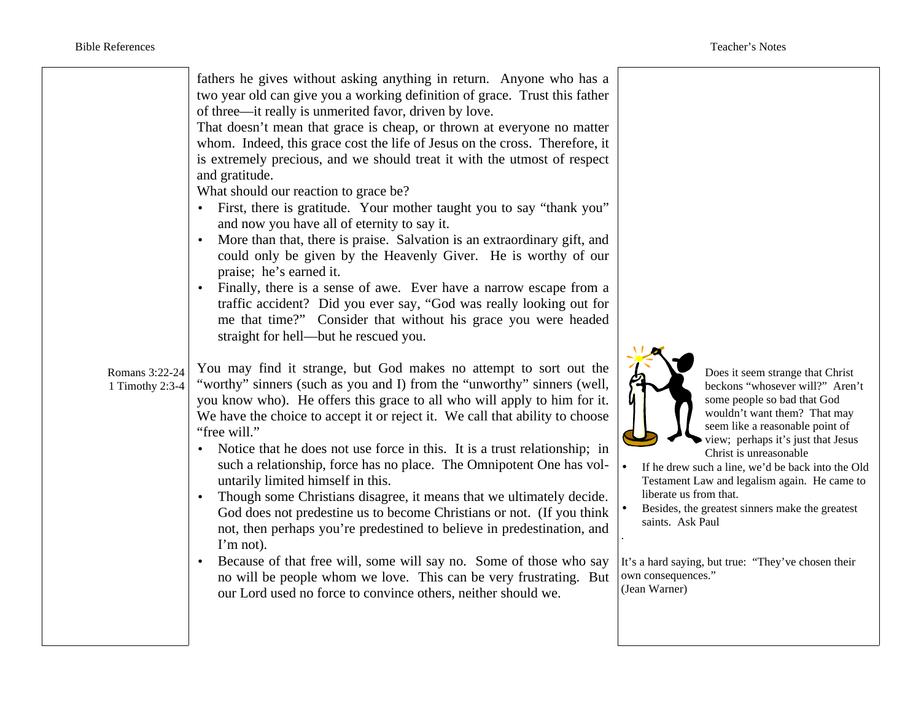| fathers he gives without asking anything in return. Anyone who has a<br>two year old can give you a working definition of grace. Trust this father<br>of three—it really is unmerited favor, driven by love.<br>That doesn't mean that grace is cheap, or thrown at everyone no matter<br>whom. Indeed, this grace cost the life of Jesus on the cross. Therefore, it<br>is extremely precious, and we should treat it with the utmost of respect<br>and gratitude.<br>What should our reaction to grace be?<br>First, there is gratitude. Your mother taught you to say "thank you"<br>and now you have all of eternity to say it.<br>More than that, there is praise. Salvation is an extraordinary gift, and<br>could only be given by the Heavenly Giver. He is worthy of our<br>praise; he's earned it.<br>Finally, there is a sense of awe. Ever have a narrow escape from a<br>traffic accident? Did you ever say, "God was really looking out for<br>me that time?" Consider that without his grace you were headed<br>straight for hell—but he rescued you.<br>You may find it strange, but God makes no attempt to sort out the<br>Romans 3:22-24<br>"worthy" sinners (such as you and I) from the "unworthy" sinners (well,<br>1 Timothy 2:3-4<br>you know who). He offers this grace to all who will apply to him for it.<br>We have the choice to accept it or reject it. We call that ability to choose<br>"free will."<br>Notice that he does not use force in this. It is a trust relationship; in<br>$\bullet$<br>such a relationship, force has no place. The Omnipotent One has vol-<br>untarily limited himself in this.<br>Though some Christians disagree, it means that we ultimately decide.<br>God does not predestine us to become Christians or not. (If you think<br>not, then perhaps you're predestined to believe in predestination, and<br>I'm not).<br>Because of that free will, some will say no. Some of those who say<br>no will be people whom we love. This can be very frustrating. But<br>our Lord used no force to convince others, neither should we. | Does it seem strange that Christ<br>beckons "whosever will?" Aren't<br>some people so bad that God<br>wouldn't want them? That may<br>seem like a reasonable point of<br>view; perhaps it's just that Jesus<br>Christ is unreasonable<br>If he drew such a line, we'd be back into the Old<br>Testament Law and legalism again. He came to<br>liberate us from that.<br>Besides, the greatest sinners make the greatest<br>saints. Ask Paul<br>It's a hard saying, but true: "They've chosen their<br>own consequences."<br>(Jean Warner) |
|--------------------------------------------------------------------------------------------------------------------------------------------------------------------------------------------------------------------------------------------------------------------------------------------------------------------------------------------------------------------------------------------------------------------------------------------------------------------------------------------------------------------------------------------------------------------------------------------------------------------------------------------------------------------------------------------------------------------------------------------------------------------------------------------------------------------------------------------------------------------------------------------------------------------------------------------------------------------------------------------------------------------------------------------------------------------------------------------------------------------------------------------------------------------------------------------------------------------------------------------------------------------------------------------------------------------------------------------------------------------------------------------------------------------------------------------------------------------------------------------------------------------------------------------------------------------------------------------------------------------------------------------------------------------------------------------------------------------------------------------------------------------------------------------------------------------------------------------------------------------------------------------------------------------------------------------------------------------------------------------------------------------------------------------------------------------------------------------------|-------------------------------------------------------------------------------------------------------------------------------------------------------------------------------------------------------------------------------------------------------------------------------------------------------------------------------------------------------------------------------------------------------------------------------------------------------------------------------------------------------------------------------------------|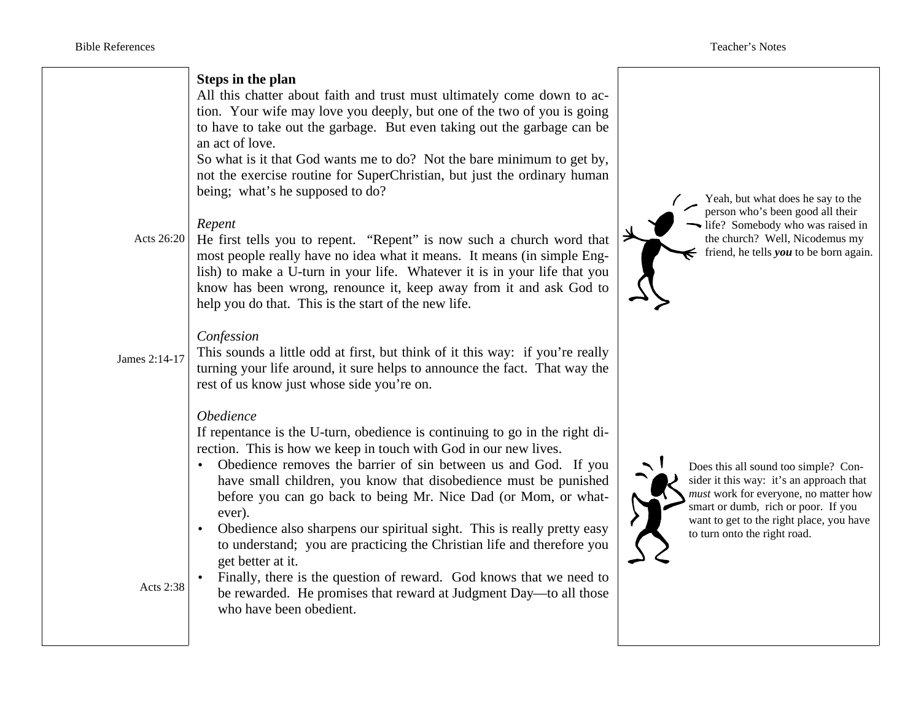| Acts 26:20<br>James 2:14-17 | Steps in the plan<br>All this chatter about faith and trust must ultimately come down to ac-<br>tion. Your wife may love you deeply, but one of the two of you is going<br>to have to take out the garbage. But even taking out the garbage can be<br>an act of love.<br>So what is it that God wants me to do? Not the bare minimum to get by,<br>not the exercise routine for SuperChristian, but just the ordinary human<br>being; what's he supposed to do?<br>Repent<br>He first tells you to repent. "Repent" is now such a church word that<br>most people really have no idea what it means. It means (in simple Eng-<br>lish) to make a U-turn in your life. Whatever it is in your life that you<br>know has been wrong, renounce it, keep away from it and ask God to<br>help you do that. This is the start of the new life.<br>Confession<br>This sounds a little odd at first, but think of it this way: if you're really<br>turning your life around, it sure helps to announce the fact. That way the<br>rest of us know just whose side you're on. | Yeah, but what does he say to the<br>person who's been good all their<br>life? Somebody who was raised in<br>the church? Well, Nicodemus my<br>friend, he tells $you$ to be born again.                                                      |
|-----------------------------|---------------------------------------------------------------------------------------------------------------------------------------------------------------------------------------------------------------------------------------------------------------------------------------------------------------------------------------------------------------------------------------------------------------------------------------------------------------------------------------------------------------------------------------------------------------------------------------------------------------------------------------------------------------------------------------------------------------------------------------------------------------------------------------------------------------------------------------------------------------------------------------------------------------------------------------------------------------------------------------------------------------------------------------------------------------------|----------------------------------------------------------------------------------------------------------------------------------------------------------------------------------------------------------------------------------------------|
| Acts 2:38                   | Obedience<br>If repentance is the U-turn, obedience is continuing to go in the right di-<br>rection. This is how we keep in touch with God in our new lives.<br>Obedience removes the barrier of sin between us and God. If you<br>have small children, you know that disobedience must be punished<br>before you can go back to being Mr. Nice Dad (or Mom, or what-<br>ever).<br>Obedience also sharpens our spiritual sight. This is really pretty easy<br>$\bullet$<br>to understand; you are practicing the Christian life and therefore you<br>get better at it.<br>Finally, there is the question of reward. God knows that we need to<br>be rewarded. He promises that reward at Judgment Day—to all those<br>who have been obedient.                                                                                                                                                                                                                                                                                                                       | Does this all sound too simple? Con-<br>sider it this way: it's an approach that<br>must work for everyone, no matter how<br>smart or dumb, rich or poor. If you<br>want to get to the right place, you have<br>to turn onto the right road. |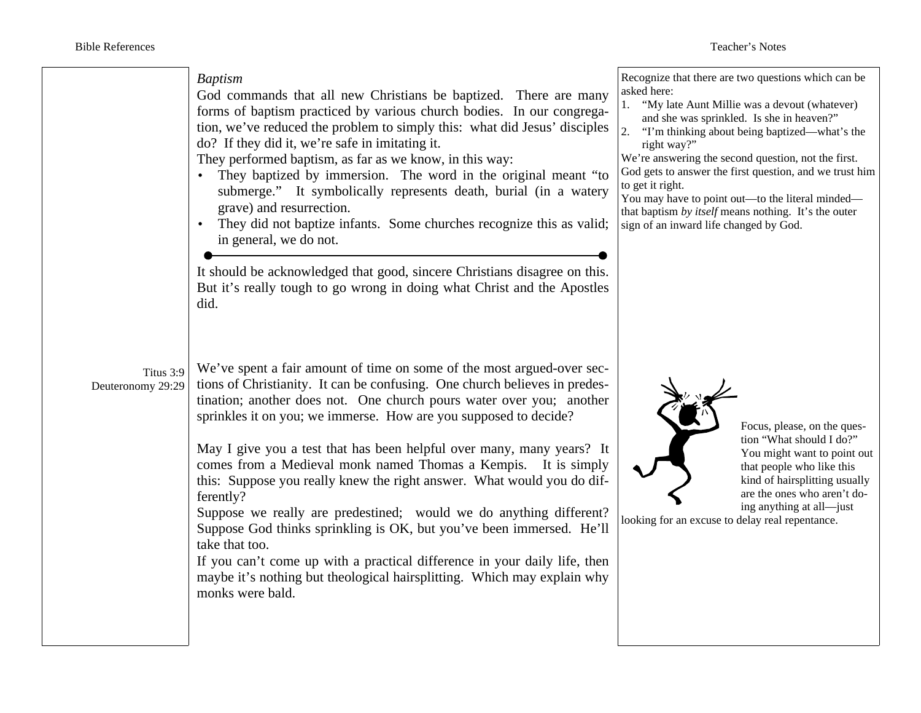#### *Baptism*

God commands that all new Christians be baptized. There are many forms of baptism practiced by various church bodies. In our congregation, we've reduced the problem to simply this: what did Jesus' disciples do? If they did it, we're safe in imitating it.

They performed baptism, as far as we know, in this way:

- They baptized by immersion. The word in the original meant "to submerge." It symbolically represents death, burial (in a watery grave) and resurrection.
- They did not baptize infants. Some churches recognize this as valid; in general, we do not.

It should be acknowledged that good, sincere Christians disagree on this. But it's really tough to go wrong in doing what Christ and the Apostles did.

Titus 3:9 Deuteronomy 29:29 We've spent a fair amount of time on some of the most argued-over sections of Christianity. It can be confusing. One church believes in predestination; another does not. One church pours water over you; another sprinkles it on you; we immerse. How are you supposed to decide?

May I give you a test that has been helpful over many, many years? It comes from a Medieval monk named Thomas a Kempis. It is simply this: Suppose you really knew the right answer. What would you do differently?

Suppose we really are predestined; would we do anything different? Suppose God thinks sprinkling is OK, but you've been immersed. He'll take that too.

If you can't come up with a practical difference in your daily life, then maybe it's nothing but theological hairsplitting. Which may explain why monks were bald.

Recognize that there are two questions which can be asked here:

- 1. "My late Aunt Millie was a devout (whatever) and she was sprinkled. Is she in heaven?"
- 2. "I'm thinking about being baptized—what's the right way?"

We're answering the second question, not the first. God gets to answer the first question, and we trust him to get it right.

You may have to point out—to the literal minded that baptism *by itself* means nothing. It's the outer sign of an inward life changed by God.



Focus, please, on the question "What should I do?" You might want to point out that people who like this kind of hairsplitting usually are the ones who aren't doing anything at all—just

looking for an excuse to delay real repentance.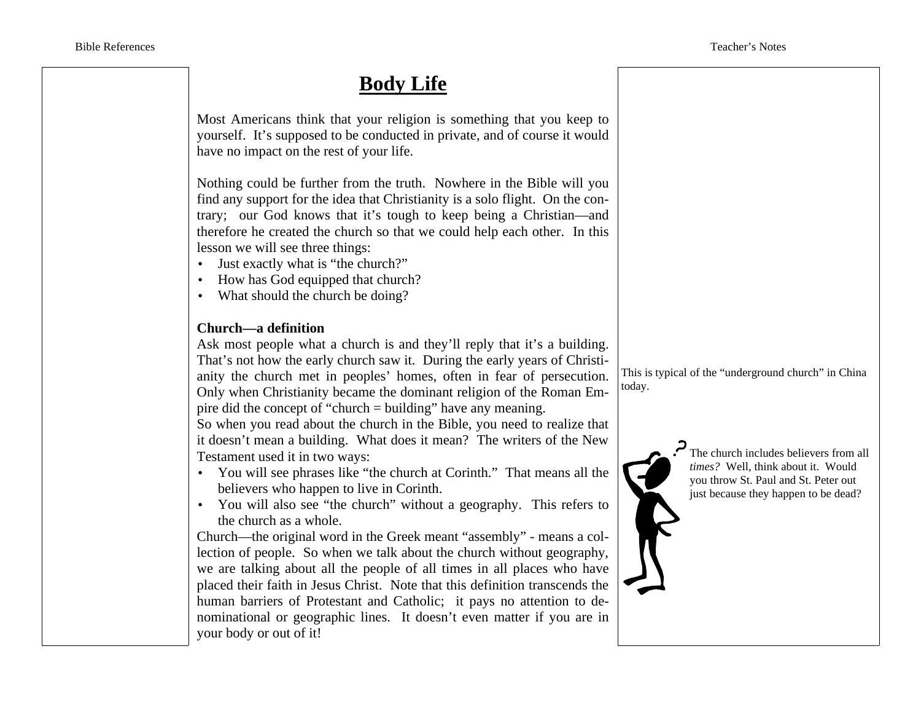## **Body Life**

Most Americans think that your religion is something that you keep to yourself. It's supposed to be conducted in private, and of course it would have no impact on the rest of your life.

Nothing could be further from the truth. Nowhere in the Bible will you find any support for the idea that Christianity is a solo flight. On the contrary; our God knows that it's tough to keep being a Christian—and therefore he created the church so that we could help each other. In this lesson we will see three things:

- Just exactly what is "the church?"
- How has God equipped that church?
- What should the church be doing?

### **Church—a definition**

Ask most people what a church is and they'll reply that it's a building. That's not how the early church saw it. During the early years of Christianity the church met in peoples' homes, often in fear of persecution. Only when Christianity became the dominant religion of the Roman Empire did the concept of "church = building" have any meaning.

So when you read about the church in the Bible, you need to realize that it doesn't mean a building. What does it mean? The writers of the New Testament used it in two ways:

- You will see phrases like "the church at Corinth." That means all the believers who happen to live in Corinth.
- You will also see "the church" without a geography. This refers to the church as a whole.

Church—the original word in the Greek meant "assembly" - means a collection of people. So when we talk about the church without geography, we are talking about all the people of all times in all places who have placed their faith in Jesus Christ. Note that this definition transcends the human barriers of Protestant and Catholic; it pays no attention to denominational or geographic lines. It doesn't even matter if you are in your body or out of it!

This is typical of the "underground church" in China today.



The church includes believers from all *times?* Well, think about it. Would you throw St. Paul and St. Peter out just because they happen to be dead?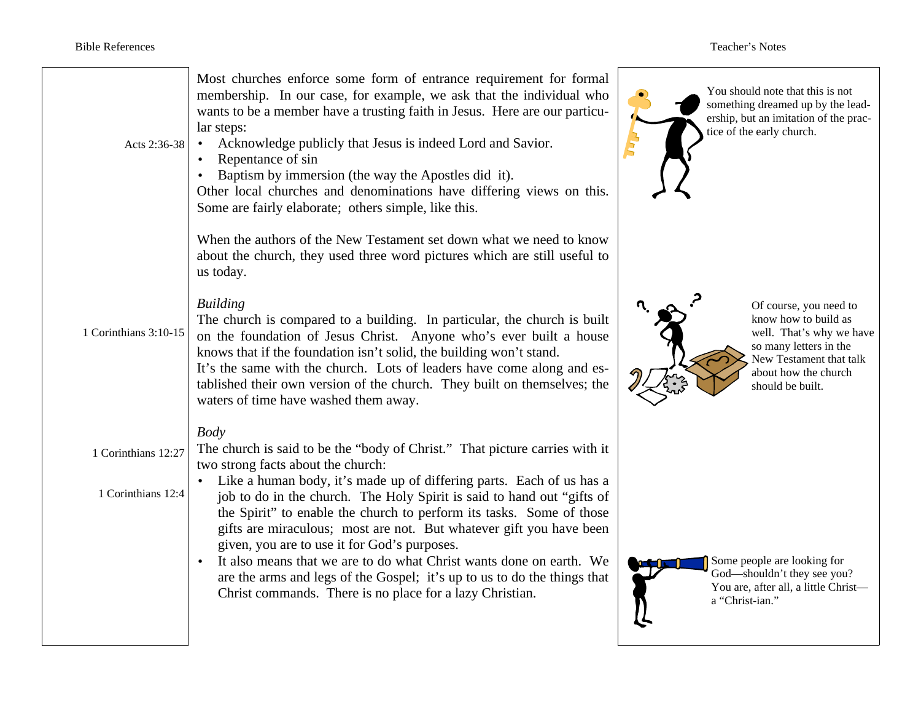| Acts 2:36-38          | Most churches enforce some form of entrance requirement for formal<br>membership. In our case, for example, we ask that the individual who<br>wants to be a member have a trusting faith in Jesus. Here are our particu-<br>lar steps:<br>Acknowledge publicly that Jesus is indeed Lord and Savior.<br>$\bullet$<br>Repentance of sin<br>Baptism by immersion (the way the Apostles did it).<br>Other local churches and denominations have differing views on this.<br>Some are fairly elaborate; others simple, like this. | You should note that this is not<br>something dreamed up by the lead-<br>ership, but an imitation of the prac-<br>tice of the early church.                                 |
|-----------------------|-------------------------------------------------------------------------------------------------------------------------------------------------------------------------------------------------------------------------------------------------------------------------------------------------------------------------------------------------------------------------------------------------------------------------------------------------------------------------------------------------------------------------------|-----------------------------------------------------------------------------------------------------------------------------------------------------------------------------|
|                       | When the authors of the New Testament set down what we need to know<br>about the church, they used three word pictures which are still useful to<br>us today.                                                                                                                                                                                                                                                                                                                                                                 |                                                                                                                                                                             |
| 1 Corinthians 3:10-15 | <b>Building</b><br>The church is compared to a building. In particular, the church is built<br>on the foundation of Jesus Christ. Anyone who's ever built a house<br>knows that if the foundation isn't solid, the building won't stand.<br>It's the same with the church. Lots of leaders have come along and es-<br>tablished their own version of the church. They built on themselves; the<br>waters of time have washed them away.                                                                                       | Of course, you need to<br>know how to build as<br>well. That's why we have<br>so many letters in the<br>New Testament that talk<br>about how the church<br>should be built. |
| 1 Corinthians 12:27   | <b>Body</b><br>The church is said to be the "body of Christ." That picture carries with it<br>two strong facts about the church:                                                                                                                                                                                                                                                                                                                                                                                              |                                                                                                                                                                             |
| 1 Corinthians 12:4    | Like a human body, it's made up of differing parts. Each of us has a<br>job to do in the church. The Holy Spirit is said to hand out "gifts of<br>the Spirit" to enable the church to perform its tasks. Some of those<br>gifts are miraculous; most are not. But whatever gift you have been<br>given, you are to use it for God's purposes.                                                                                                                                                                                 |                                                                                                                                                                             |
|                       | It also means that we are to do what Christ wants done on earth. We<br>are the arms and legs of the Gospel; it's up to us to do the things that<br>Christ commands. There is no place for a lazy Christian.                                                                                                                                                                                                                                                                                                                   | Some people are looking for<br>God-shouldn't they see you?<br>You are, after all, a little Christ-<br>a "Christ-ian."                                                       |
|                       |                                                                                                                                                                                                                                                                                                                                                                                                                                                                                                                               |                                                                                                                                                                             |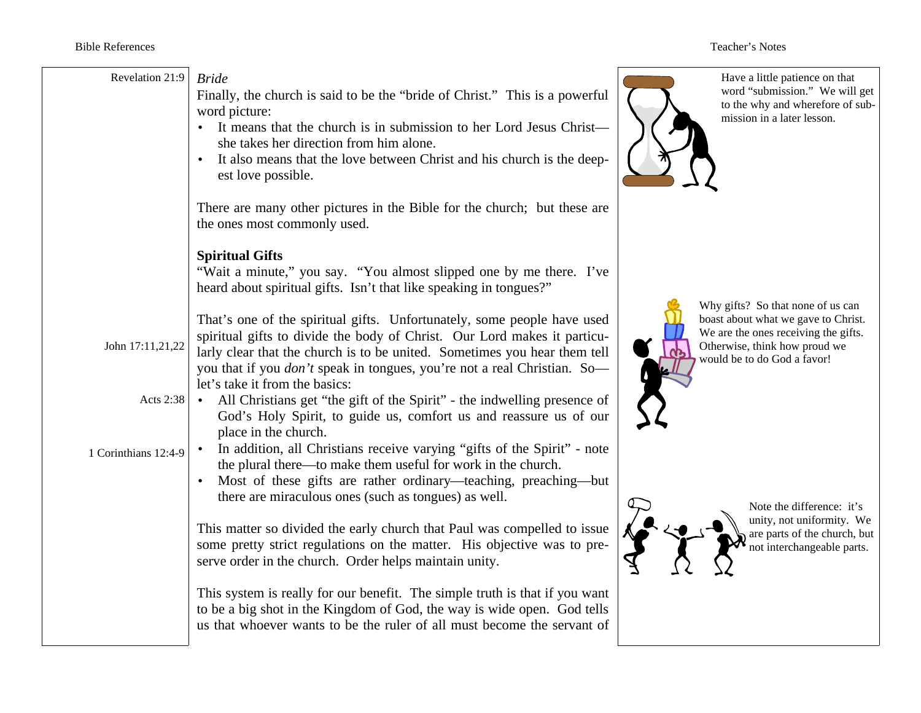| Revelation 21:9      | <b>Bride</b><br>Finally, the church is said to be the "bride of Christ." This is a powerful<br>word picture:<br>It means that the church is in submission to her Lord Jesus Christ-<br>she takes her direction from him alone.<br>It also means that the love between Christ and his church is the deep-<br>est love possible.                        | Have a little patience on that<br>word "submission." We will get<br>to the why and wherefore of sub-<br>mission in a later lesson.                                               |
|----------------------|-------------------------------------------------------------------------------------------------------------------------------------------------------------------------------------------------------------------------------------------------------------------------------------------------------------------------------------------------------|----------------------------------------------------------------------------------------------------------------------------------------------------------------------------------|
|                      | There are many other pictures in the Bible for the church; but these are<br>the ones most commonly used.                                                                                                                                                                                                                                              |                                                                                                                                                                                  |
|                      | <b>Spiritual Gifts</b><br>"Wait a minute," you say. "You almost slipped one by me there. I've<br>heard about spiritual gifts. Isn't that like speaking in tongues?"                                                                                                                                                                                   |                                                                                                                                                                                  |
| John 17:11,21,22     | That's one of the spiritual gifts. Unfortunately, some people have used<br>spiritual gifts to divide the body of Christ. Our Lord makes it particu-<br>larly clear that the church is to be united. Sometimes you hear them tell<br>you that if you <i>don't</i> speak in tongues, you're not a real Christian. So-<br>let's take it from the basics: | Why gifts? So that none of us can<br>boast about what we gave to Christ.<br>We are the ones receiving the gifts.<br>Otherwise, think how proud we<br>would be to do God a favor! |
| Acts 2:38            | All Christians get "the gift of the Spirit" - the indwelling presence of<br>God's Holy Spirit, to guide us, comfort us and reassure us of our<br>place in the church.                                                                                                                                                                                 |                                                                                                                                                                                  |
| 1 Corinthians 12:4-9 | In addition, all Christians receive varying "gifts of the Spirit" - note<br>the plural there—to make them useful for work in the church.<br>Most of these gifts are rather ordinary—teaching, preaching—but<br>there are miraculous ones (such as tongues) as well.                                                                                   | Note the difference: it's                                                                                                                                                        |
|                      | This matter so divided the early church that Paul was compelled to issue<br>some pretty strict regulations on the matter. His objective was to pre-<br>serve order in the church. Order helps maintain unity.                                                                                                                                         | unity, not uniformity. We<br>are parts of the church, but<br>not interchangeable parts.                                                                                          |
|                      | This system is really for our benefit. The simple truth is that if you want<br>to be a big shot in the Kingdom of God, the way is wide open. God tells<br>us that whoever wants to be the ruler of all must become the servant of                                                                                                                     |                                                                                                                                                                                  |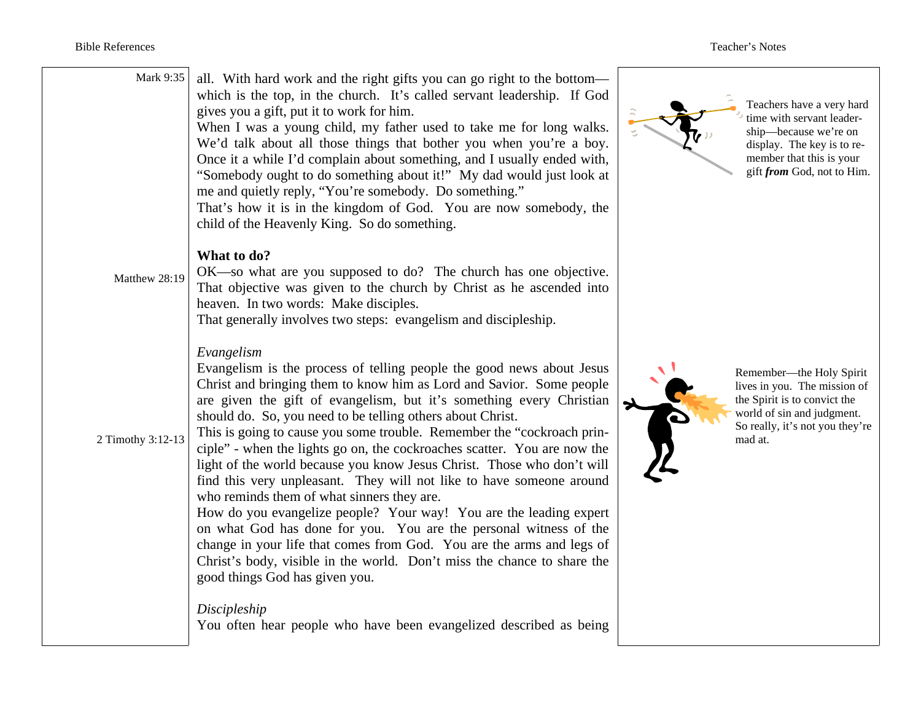| Mark 9:35         | all. With hard work and the right gifts you can go right to the bottom—<br>which is the top, in the church. It's called servant leadership. If God<br>gives you a gift, put it to work for him.<br>When I was a young child, my father used to take me for long walks.<br>We'd talk about all those things that bother you when you're a boy.<br>Once it a while I'd complain about something, and I usually ended with,<br>"Somebody ought to do something about it!" My dad would just look at<br>me and quietly reply, "You're somebody. Do something."<br>That's how it is in the kingdom of God. You are now somebody, the<br>child of the Heavenly King. So do something.                                                                                                                                                                                                                                                                                                          |          | Teachers have a very hard<br>time with servant leader-<br>ship—because we're on<br>display. The key is to re-<br>member that this is your<br>gift from God, not to Him. |
|-------------------|------------------------------------------------------------------------------------------------------------------------------------------------------------------------------------------------------------------------------------------------------------------------------------------------------------------------------------------------------------------------------------------------------------------------------------------------------------------------------------------------------------------------------------------------------------------------------------------------------------------------------------------------------------------------------------------------------------------------------------------------------------------------------------------------------------------------------------------------------------------------------------------------------------------------------------------------------------------------------------------|----------|-------------------------------------------------------------------------------------------------------------------------------------------------------------------------|
| Matthew 28:19     | What to do?<br>OK—so what are you supposed to do? The church has one objective.<br>That objective was given to the church by Christ as he ascended into<br>heaven. In two words: Make disciples.<br>That generally involves two steps: evangelism and discipleship.                                                                                                                                                                                                                                                                                                                                                                                                                                                                                                                                                                                                                                                                                                                      |          |                                                                                                                                                                         |
| 2 Timothy 3:12-13 | Evangelism<br>Evangelism is the process of telling people the good news about Jesus<br>Christ and bringing them to know him as Lord and Savior. Some people<br>are given the gift of evangelism, but it's something every Christian<br>should do. So, you need to be telling others about Christ.<br>This is going to cause you some trouble. Remember the "cockroach prin-<br>ciple" - when the lights go on, the cockroaches scatter. You are now the<br>light of the world because you know Jesus Christ. Those who don't will<br>find this very unpleasant. They will not like to have someone around<br>who reminds them of what sinners they are.<br>How do you evangelize people? Your way! You are the leading expert<br>on what God has done for you. You are the personal witness of the<br>change in your life that comes from God. You are the arms and legs of<br>Christ's body, visible in the world. Don't miss the chance to share the<br>good things God has given you. | <b>B</b> | Remember—the Holy Spirit<br>lives in you. The mission of<br>the Spirit is to convict the<br>world of sin and judgment.<br>So really, it's not you they're<br>mad at.    |
|                   | Discipleship<br>You often hear people who have been evangelized described as being                                                                                                                                                                                                                                                                                                                                                                                                                                                                                                                                                                                                                                                                                                                                                                                                                                                                                                       |          |                                                                                                                                                                         |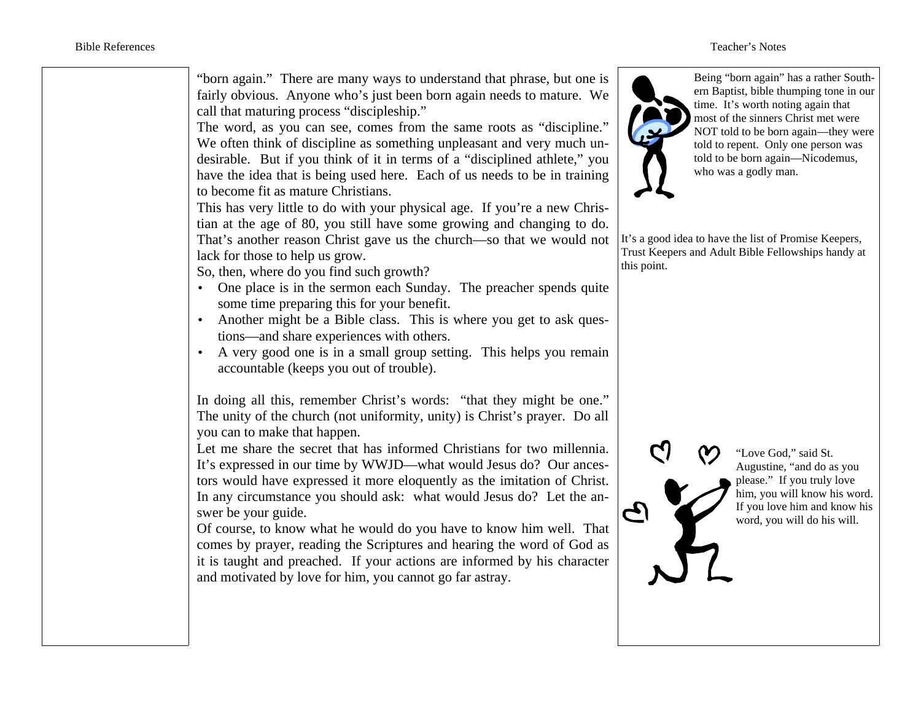"born again." There are many ways to understand that phrase, but one is fairly obvious. Anyone who's just been born again needs to mature. We call that maturing process "discipleship."

The word, as you can see, comes from the same roots as "discipline." We often think of discipline as something unpleasant and very much undesirable. But if you think of it in terms of a "disciplined athlete," you have the idea that is being used here. Each of us needs to be in training to become fit as mature Christians.

This has very little to do with your physical age. If you're a new Christian at the age of 80, you still have some growing and changing to do. That's another reason Christ gave us the church—so that we would not lack for those to help us grow.

So, then, where do you find such growth?

- One place is in the sermon each Sunday. The preacher spends quite some time preparing this for your benefit.
- Another might be a Bible class. This is where you get to ask questions—and share experiences with others.
- A very good one is in a small group setting. This helps you remain accountable (keeps you out of trouble).

In doing all this, remember Christ's words: "that they might be one." The unity of the church (not uniformity, unity) is Christ's prayer. Do all you can to make that happen.

Let me share the secret that has informed Christians for two millennia. It's expressed in our time by WWJD—what would Jesus do? Our ancestors would have expressed it more eloquently as the imitation of Christ. In any circumstance you should ask: what would Jesus do? Let the answer be your guide.

Of course, to know what he would do you have to know him well. That comes by prayer, reading the Scriptures and hearing the word of God as it is taught and preached. If your actions are informed by his character and motivated by love for him, you cannot go far astray.



Being "born again" has a rather Southern Baptist, bible thumping tone in our time. It's worth noting again that most of the sinners Christ met were NOT told to be born again—they were told to repent. Only one person was told to be born again—Nicodemus, who was a godly man.

It's a good idea to have the list of Promise Keepers, Trust Keepers and Adult Bible Fellowships handy at this point.



G)

"Love God," said St. Augustine, "and do as you please." If you truly love him, you will know his word. If you love him and know his word, you will do his will.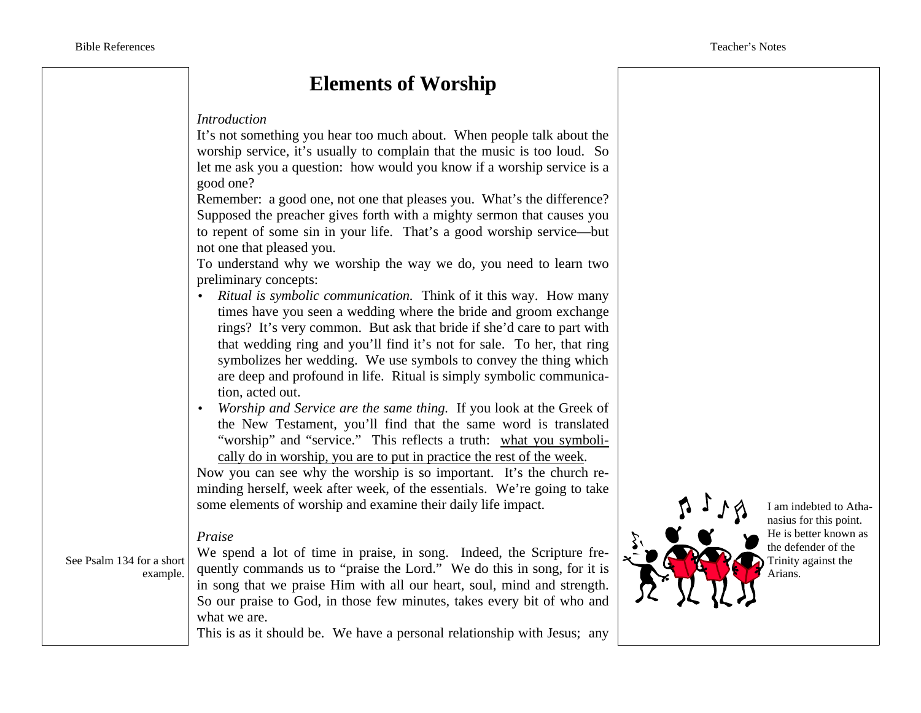## **Elements of Worship**

#### *Introduction*

It's not something you hear too much about. When people talk about the worship service, it's usually to complain that the music is too loud. So let me ask you a question: how would you know if a worship service is a good one?

Remember: a good one, not one that pleases you. What's the difference? Supposed the preacher gives forth with a mighty sermon that causes you to repent of some sin in your life. That's a good worship service—but not one that pleased you.

To understand why we worship the way we do, you need to learn two preliminary concepts:

- *Ritual is symbolic communication.* Think of it this way. How many times have you seen a wedding where the bride and groom exchange rings? It's very common. But ask that bride if she'd care to part with that wedding ring and you'll find it's not for sale. To her, that ring symbolizes her wedding. We use symbols to convey the thing which are deep and profound in life. Ritual is simply symbolic communication, acted out.
- *Worship and Service are the same thing.* If you look at the Greek of the New Testament, you'll find that the same word is translated "worship" and "service." This reflects a truth: what you symbolically do in worship, you are to put in practice the rest of the week.

Now you can see why the worship is so important. It's the church reminding herself, week after week, of the essentials. We're going to take some elements of worship and examine their daily life impact.

#### *Praise*

See Psalm 134 for a short example.

We spend a lot of time in praise, in song. Indeed, the Scripture frequently commands us to "praise the Lord." We do this in song, for it is in song that we praise Him with all our heart, soul, mind and strength. So our praise to God, in those few minutes, takes every bit of who and what we are.

This is as it should be. We have a personal relationship with Jesus; any



I am indebted to Athanasius for this point. He is better known as the defender of the Trinity against the Arians.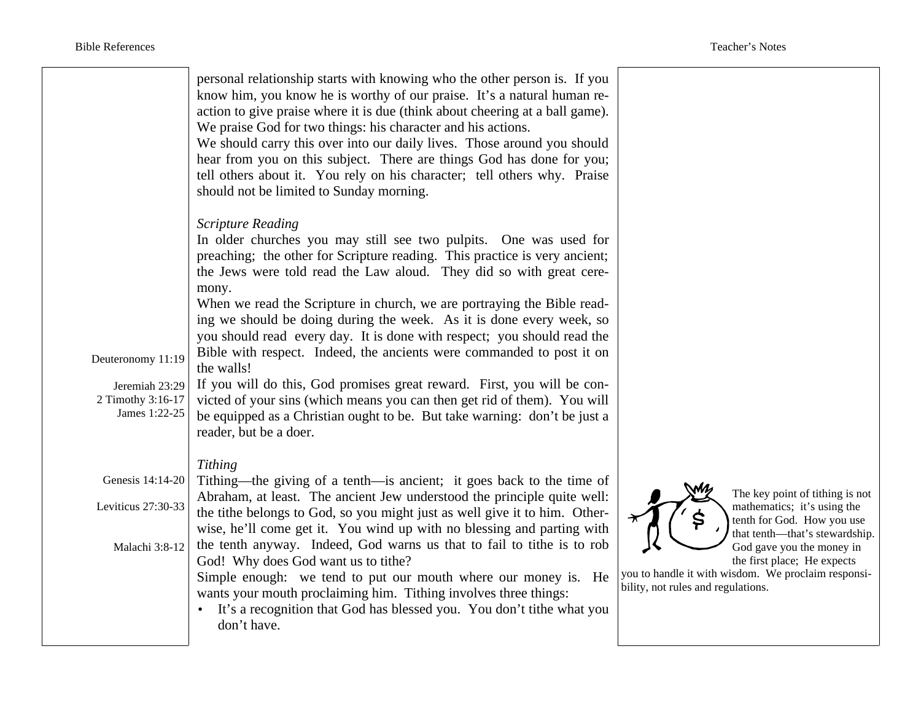|                                                                           | personal relationship starts with knowing who the other person is. If you<br>know him, you know he is worthy of our praise. It's a natural human re-<br>action to give praise where it is due (think about cheering at a ball game).<br>We praise God for two things: his character and his actions.<br>We should carry this over into our daily lives. Those around you should<br>hear from you on this subject. There are things God has done for you;<br>tell others about it. You rely on his character; tell others why. Praise<br>should not be limited to Sunday morning.                                                                                                                                                                                                                                                               |                                                |
|---------------------------------------------------------------------------|------------------------------------------------------------------------------------------------------------------------------------------------------------------------------------------------------------------------------------------------------------------------------------------------------------------------------------------------------------------------------------------------------------------------------------------------------------------------------------------------------------------------------------------------------------------------------------------------------------------------------------------------------------------------------------------------------------------------------------------------------------------------------------------------------------------------------------------------|------------------------------------------------|
| Deuteronomy 11:19<br>Jeremiah 23:29<br>2 Timothy 3:16-17<br>James 1:22-25 | <b>Scripture Reading</b><br>In older churches you may still see two pulpits. One was used for<br>preaching; the other for Scripture reading. This practice is very ancient;<br>the Jews were told read the Law aloud. They did so with great cere-<br>mony.<br>When we read the Scripture in church, we are portraying the Bible read-<br>ing we should be doing during the week. As it is done every week, so<br>you should read every day. It is done with respect; you should read the<br>Bible with respect. Indeed, the ancients were commanded to post it on<br>the walls!<br>If you will do this, God promises great reward. First, you will be con-<br>victed of your sins (which means you can then get rid of them). You will<br>be equipped as a Christian ought to be. But take warning: don't be just a<br>reader, but be a doer. |                                                |
| Genesis 14:14-20<br>Leviticus 27:30-33<br>Malachi 3:8-12                  | Tithing<br>Tithing—the giving of a tenth—is ancient; it goes back to the time of<br>Abraham, at least. The ancient Jew understood the principle quite well:<br>the tithe belongs to God, so you might just as well give it to him. Other-<br>wise, he'll come get it. You wind up with no blessing and parting with<br>the tenth anyway. Indeed, God warns us that to fail to tithe is to rob<br>God! Why does God want us to tithe?<br>Simple enough: we tend to put our mouth where our money is. He<br>wants your mouth proclaiming him. Tithing involves three things:<br>• It's a recognition that God has blessed you. You don't title what you<br>don't have.                                                                                                                                                                           | you to handle it with<br>bility, not rules and |

The key point of tithing is not mathematics; it's using the tenth for God. How you use that tenth—that's stewardship. God gave you the money in the first place; He expects

you to handle it with wisdom. We proclaim responsiand regulations.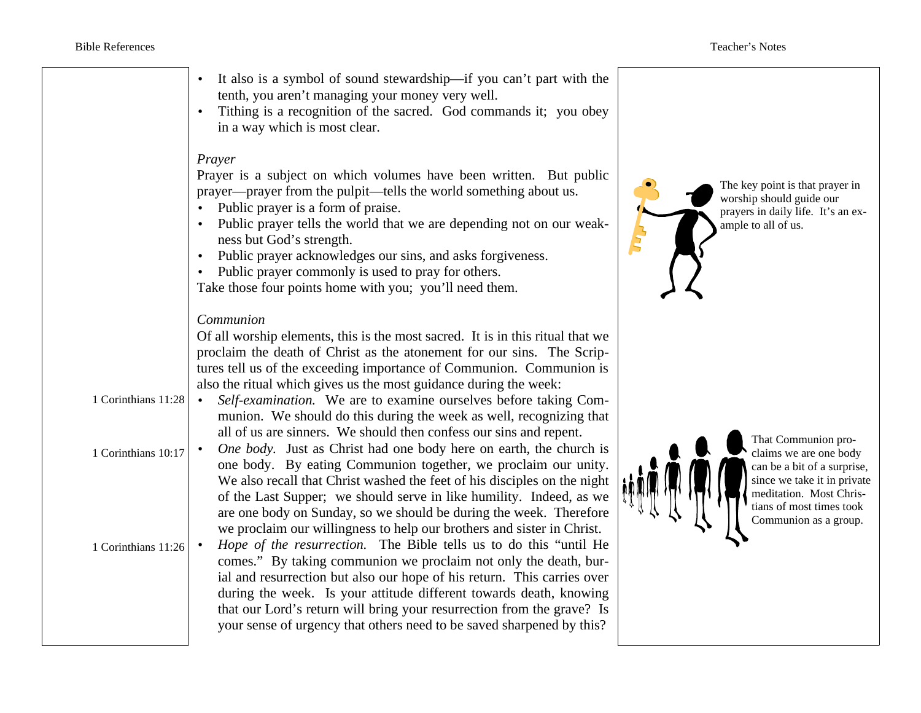|                                                                   | It also is a symbol of sound stewardship—if you can't part with the<br>tenth, you aren't managing your money very well.<br>Tithing is a recognition of the sacred. God commands it; you obey<br>in a way which is most clear.<br>Prayer<br>Prayer is a subject on which volumes have been written. But public<br>prayer—prayer from the pulpit—tells the world something about us.<br>Public prayer is a form of praise.<br>Public prayer tells the world that we are depending not on our weak-<br>ness but God's strength.<br>Public prayer acknowledges our sins, and asks forgiveness.<br>Public prayer commonly is used to pray for others.<br>Take those four points home with you; you'll need them.                                                                                                                                                                                                                                                                                                                                                                                                                                                                                                                                                                                                                                                                                                                 | The key point is that prayer in<br>worship should guide our<br>prayers in daily life. It's an ex-<br>ample to all of us.<br>Ę                                                               |
|-------------------------------------------------------------------|-----------------------------------------------------------------------------------------------------------------------------------------------------------------------------------------------------------------------------------------------------------------------------------------------------------------------------------------------------------------------------------------------------------------------------------------------------------------------------------------------------------------------------------------------------------------------------------------------------------------------------------------------------------------------------------------------------------------------------------------------------------------------------------------------------------------------------------------------------------------------------------------------------------------------------------------------------------------------------------------------------------------------------------------------------------------------------------------------------------------------------------------------------------------------------------------------------------------------------------------------------------------------------------------------------------------------------------------------------------------------------------------------------------------------------|---------------------------------------------------------------------------------------------------------------------------------------------------------------------------------------------|
| 1 Corinthians 11:28<br>1 Corinthians 10:17<br>1 Corinthians 11:26 | Communion<br>Of all worship elements, this is the most sacred. It is in this ritual that we<br>proclaim the death of Christ as the atonement for our sins. The Scrip-<br>tures tell us of the exceeding importance of Communion. Communion is<br>also the ritual which gives us the most guidance during the week:<br>Self-examination. We are to examine ourselves before taking Com-<br>munion. We should do this during the week as well, recognizing that<br>all of us are sinners. We should then confess our sins and repent.<br>One body. Just as Christ had one body here on earth, the church is<br>one body. By eating Communion together, we proclaim our unity.<br>We also recall that Christ washed the feet of his disciples on the night<br>of the Last Supper; we should serve in like humility. Indeed, as we<br>are one body on Sunday, so we should be during the week. Therefore<br>we proclaim our willingness to help our brothers and sister in Christ.<br>Hope of the resurrection. The Bible tells us to do this "until He<br>comes." By taking communion we proclaim not only the death, bur-<br>ial and resurrection but also our hope of his return. This carries over<br>during the week. Is your attitude different towards death, knowing<br>that our Lord's return will bring your resurrection from the grave? Is<br>your sense of urgency that others need to be saved sharpened by this? | That Communion pro-<br>claims we are one body<br>can be a bit of a surprise,<br>since we take it in private<br>meditation. Most Chris-<br>tians of most times took<br>Communion as a group. |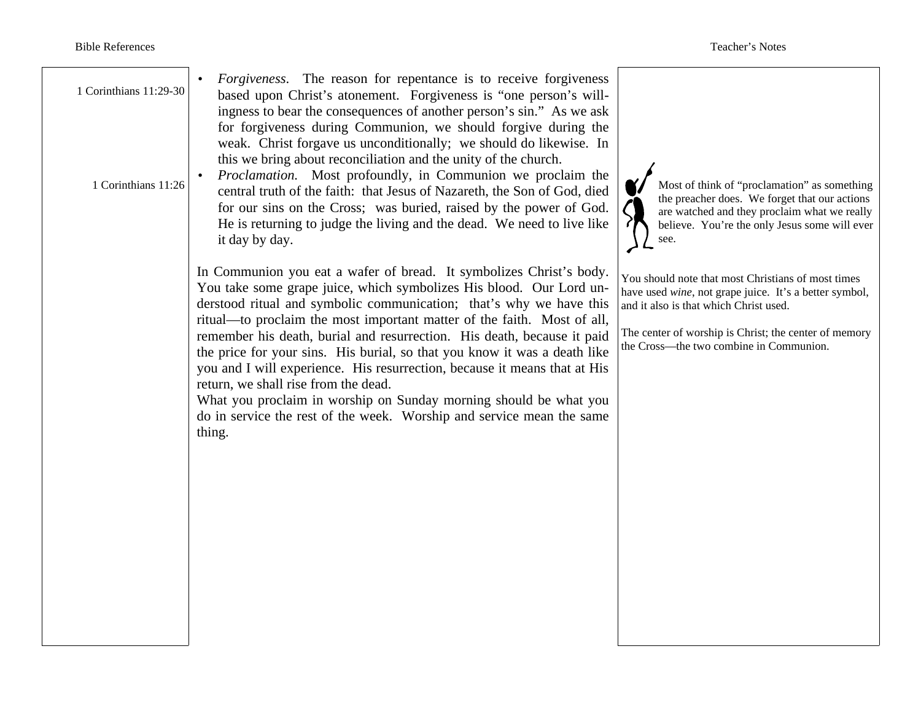| 1 Corinthians 11:29-30<br>1 Corinthians 11:26 | Forgiveness. The reason for repentance is to receive forgiveness<br>based upon Christ's atonement. Forgiveness is "one person's will-<br>ingness to bear the consequences of another person's sin." As we ask<br>for forgiveness during Communion, we should forgive during the<br>weak. Christ forgave us unconditionally; we should do likewise. In<br>this we bring about reconciliation and the unity of the church.<br><i>Proclamation.</i> Most profoundly, in Communion we proclaim the<br>central truth of the faith: that Jesus of Nazareth, the Son of God, died<br>for our sins on the Cross; was buried, raised by the power of God.<br>He is returning to judge the living and the dead. We need to live like<br>it day by day. | Most of think of "proclamation" as something<br>the preacher does. We forget that our actions<br>are watched and they proclaim what we really<br>believe. You're the only Jesus some will ever<br>see.                                                     |  |
|-----------------------------------------------|----------------------------------------------------------------------------------------------------------------------------------------------------------------------------------------------------------------------------------------------------------------------------------------------------------------------------------------------------------------------------------------------------------------------------------------------------------------------------------------------------------------------------------------------------------------------------------------------------------------------------------------------------------------------------------------------------------------------------------------------|------------------------------------------------------------------------------------------------------------------------------------------------------------------------------------------------------------------------------------------------------------|--|
|                                               | In Communion you eat a wafer of bread. It symbolizes Christ's body.<br>You take some grape juice, which symbolizes His blood. Our Lord un-<br>derstood ritual and symbolic communication; that's why we have this<br>ritual—to proclaim the most important matter of the faith. Most of all,<br>remember his death, burial and resurrection. His death, because it paid<br>the price for your sins. His burial, so that you know it was a death like<br>you and I will experience. His resurrection, because it means that at His<br>return, we shall rise from the dead.<br>What you proclaim in worship on Sunday morning should be what you<br>do in service the rest of the week. Worship and service mean the same<br>thing.            | You should note that most Christians of most times<br>have used wine, not grape juice. It's a better symbol,<br>and it also is that which Christ used.<br>The center of worship is Christ; the center of memory<br>the Cross—the two combine in Communion. |  |
|                                               |                                                                                                                                                                                                                                                                                                                                                                                                                                                                                                                                                                                                                                                                                                                                              |                                                                                                                                                                                                                                                            |  |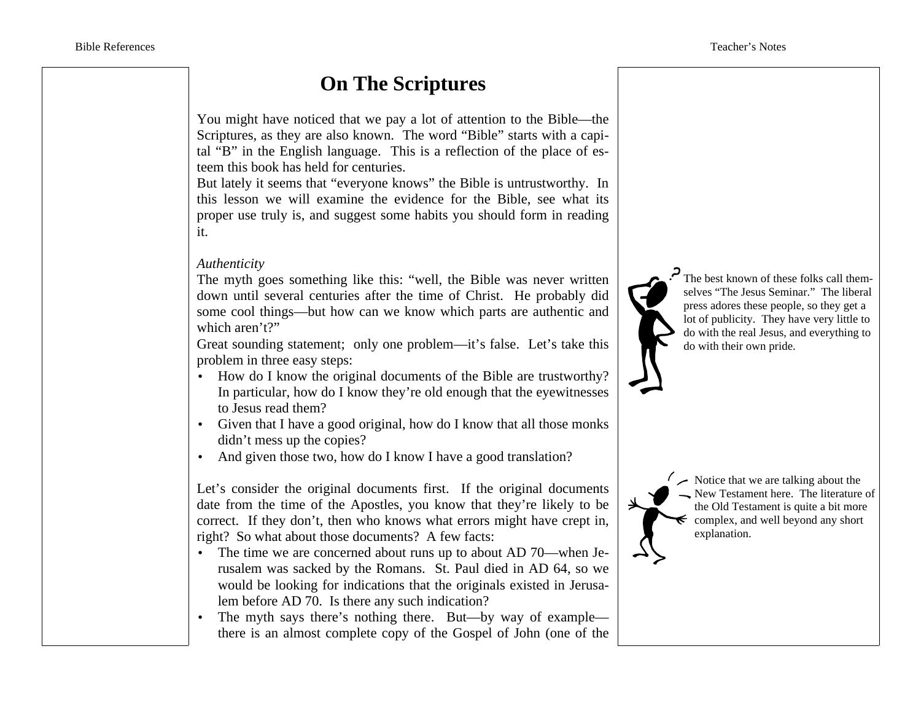## **On The Scriptures**

You might have noticed that we pay a lot of attention to the Bible—the Scriptures, as they are also known. The word "Bible" starts with a capital "B" in the English language. This is a reflection of the place of esteem this book has held for centuries.

But lately it seems that "everyone knows" the Bible is untrustworthy. In this lesson we will examine the evidence for the Bible, see what its proper use truly is, and suggest some habits you should form in reading it.

### *Authenticity*

The myth goes something like this: "well, the Bible was never written down until several centuries after the time of Christ. He probably did some cool things—but how can we know which parts are authentic and which aren't?"

Great sounding statement; only one problem—it's false. Let's take this problem in three easy steps:

- How do I know the original documents of the Bible are trustworthy? In particular, how do I know they're old enough that the eyewitnesses to Jesus read them?
- Given that I have a good original, how do I know that all those monks didn't mess up the copies?
- And given those two, how do I know I have a good translation?

Let's consider the original documents first. If the original documents date from the time of the Apostles, you know that they're likely to be correct. If they don't, then who knows what errors might have crept in, right? So what about those documents? A few facts:

- The time we are concerned about runs up to about AD 70—when Jerusalem was sacked by the Romans. St. Paul died in AD 64, so we would be looking for indications that the originals existed in Jerusalem before AD 70. Is there any such indication?
- The myth says there's nothing there. But—by way of example there is an almost complete copy of the Gospel of John (one of the

The best known of these folks call themselves "The Jesus Seminar." The liberal press adores these people, so they get a lot of publicity. They have very little to do with the real Jesus, and everything to do with their own pride.



 $\sim$ Notice that we are talking about the New Testament here. The literature of the Old Testament is quite a bit more  $\epsilon$  complex, and well beyond any short explanation.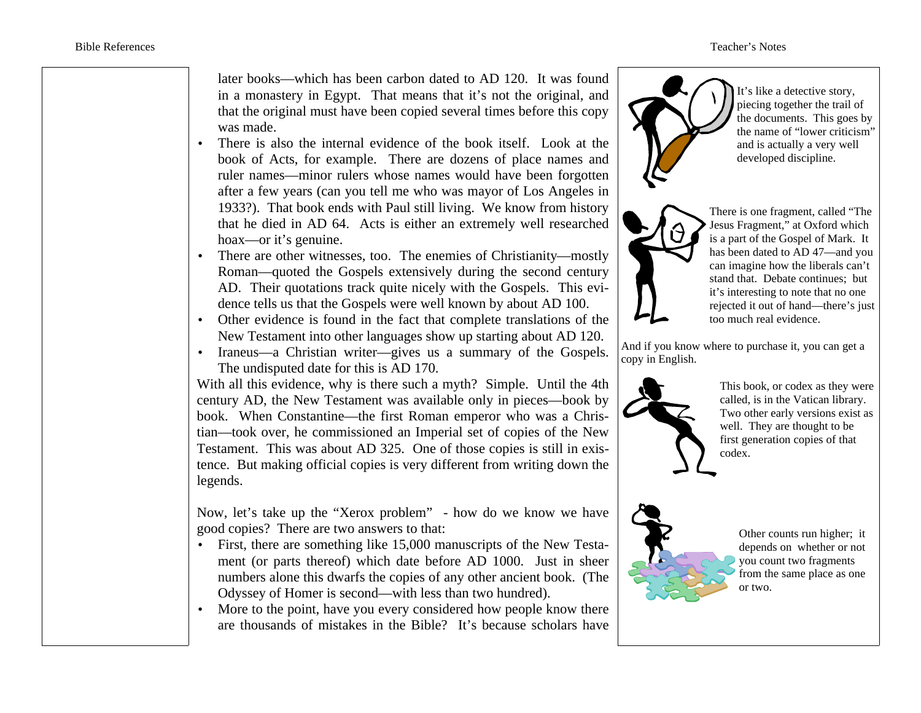later books—which has been carbon dated to AD 120. It was found in a monastery in Egypt. That means that it's not the original, and that the original must have been copied several times before this copy was made.

- There is also the internal evidence of the book itself. Look at the book of Acts, for example. There are dozens of place names and ruler names—minor rulers whose names would have been forgotten after a few years (can you tell me who was mayor of Los Angeles in 1933?). That book ends with Paul still living. We know from history that he died in AD 64. Acts is either an extremely well researched hoax—or it's genuine.
- There are other witnesses, too. The enemies of Christianity—mostly Roman—quoted the Gospels extensively during the second century AD. Their quotations track quite nicely with the Gospels. This evidence tells us that the Gospels were well known by about AD 100.
- Other evidence is found in the fact that complete translations of the New Testament into other languages show up starting about AD 120.
- Iraneus—a Christian writer—gives us a summary of the Gospels. The undisputed date for this is AD 170.

With all this evidence, why is there such a myth? Simple. Until the 4th century AD, the New Testament was available only in pieces—book by book. When Constantine—the first Roman emperor who was a Christian—took over, he commissioned an Imperial set of copies of the New Testament. This was about AD 325. One of those copies is still in existence. But making official copies is very different from writing down the legends.

Now, let's take up the "Xerox problem" - how do we know we have good copies? There are two answers to that:

- First, there are something like 15,000 manuscripts of the New Testament (or parts thereof) which date before AD 1000. Just in sheer numbers alone this dwarfs the copies of any other ancient book. (The Odyssey of Homer is second—with less than two hundred).
- More to the point, have you every considered how people know there are thousands of mistakes in the Bible? It's because scholars have

It's like a detective story, piecing together the trail of the documents. This goes by the name of "lower criticism" and is actually a very well developed discipline.



There is one fragment, called "The Jesus Fragment," at Oxford which is a part of the Gospel of Mark. It has been dated to AD 47—and you can imagine how the liberals can't stand that. Debate continues; but it's interesting to note that no one rejected it out of hand—there's just too much real evidence.

And if you know where to purchase it, you can get a copy in English.



This book, or codex as they were called, is in the Vatican library. Two other early versions exist as well. They are thought to be first generation copies of that codex.



Other counts run higher; it depends on whether or not you count two fragments from the same place as one or two.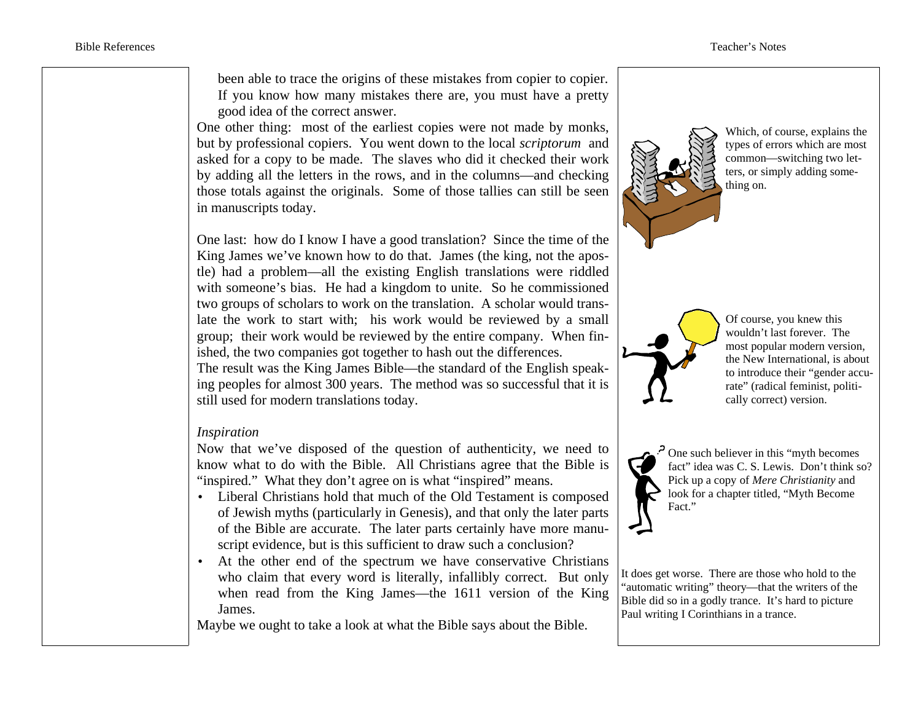been able to trace the origins of these mistakes from copier to copier. If you know how many mistakes there are, you must have a pretty good idea of the correct answer.

One other thing: most of the earliest copies were not made by monks, but by professional copiers. You went down to the local *scriptorum* and asked for a copy to be made. The slaves who did it checked their work by adding all the letters in the rows, and in the columns—and checking those totals against the originals. Some of those tallies can still be seen in manuscripts today.

One last: how do I know I have a good translation? Since the time of the King James we've known how to do that. James (the king, not the apostle) had a problem—all the existing English translations were riddled with someone's bias. He had a kingdom to unite. So he commissioned two groups of scholars to work on the translation. A scholar would translate the work to start with; his work would be reviewed by a small group; their work would be reviewed by the entire company. When finished, the two companies got together to hash out the differences. The result was the King James Bible—the standard of the English speaking peoples for almost 300 years. The method was so successful that it is still used for modern translations today.

#### *Inspiration*

Now that we've disposed of the question of authenticity, we need to know what to do with the Bible. All Christians agree that the Bible is "inspired." What they don't agree on is what "inspired" means.

- Liberal Christians hold that much of the Old Testament is composed of Jewish myths (particularly in Genesis), and that only the later parts of the Bible are accurate. The later parts certainly have more manuscript evidence, but is this sufficient to draw such a conclusion?
- At the other end of the spectrum we have conservative Christians who claim that every word is literally, infallibly correct. But only when read from the King James—the 1611 version of the King James.

Maybe we ought to take a look at what the Bible says about the Bible.



the New International, is about to introduce their "gender accurate" (radical feminist, politically correct) version.



 $\cdot$  One such believer in this "myth becomes". fact" idea was C. S. Lewis. Don't think so? Pick up a copy of *Mere Christianity* and look for a chapter titled, "Myth Become Fact."

It does get worse. There are those who hold to the "automatic writing" theory—that the writers of the Bible did so in a godly trance. It's hard to picture Paul writing I Corinthians in a trance.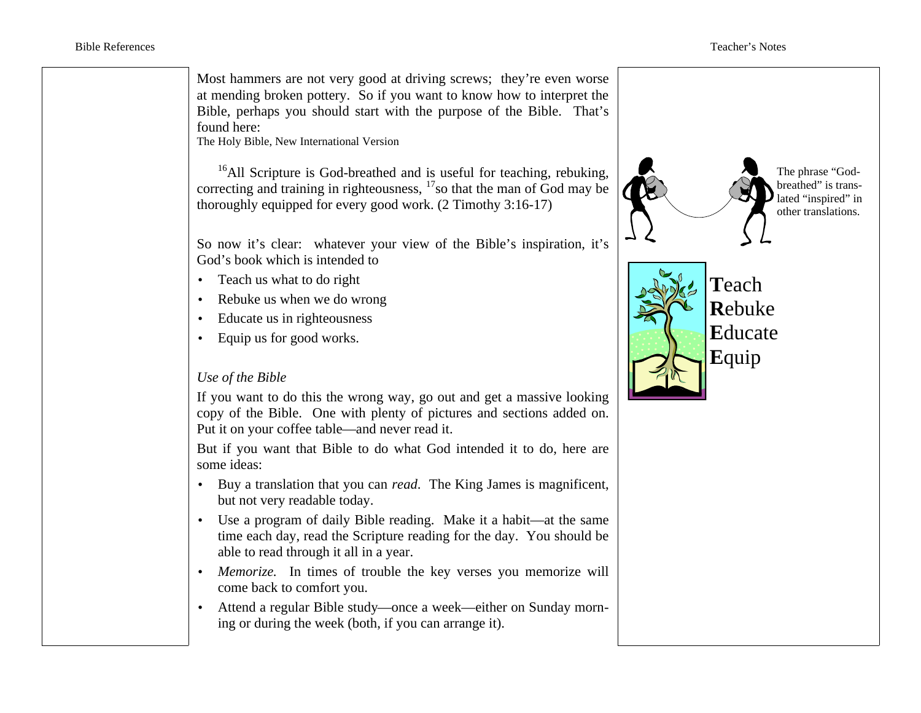Most hammers are not very good at driving screws; they're even worse at mending broken pottery. So if you want to know how to interpret the Bible, perhaps you should start with the purpose of the Bible. That's found here:

The Holy Bible, New International Version

 $16$ All Scripture is God-breathed and is useful for teaching, rebuking, correcting and training in righteousness,  $17$  so that the man of God may be thoroughly equipped for every good work. (2 Timothy 3:16-17)

So now it's clear: whatever your view of the Bible's inspiration, it's God's book which is intended to

- Teach us what to do right
- Rebuke us when we do wrong
- Educate us in righteousness
- Equip us for good works.

### *Use of the Bible*

If you want to do this the wrong way, go out and get a massive looking copy of the Bible. One with plenty of pictures and sections added on. Put it on your coffee table—and never read it.

But if you want that Bible to do what God intended it to do, here are some ideas:

- Buy a translation that you can *read*. The King James is magnificent, but not very readable today.
- Use a program of daily Bible reading. Make it a habit—at the same time each day, read the Scripture reading for the day. You should be able to read through it all in a year.
- *Memorize.* In times of trouble the key verses you memorize will come back to comfort you.
- Attend a regular Bible study—once a week—either on Sunday morning or during the week (both, if you can arrange it).

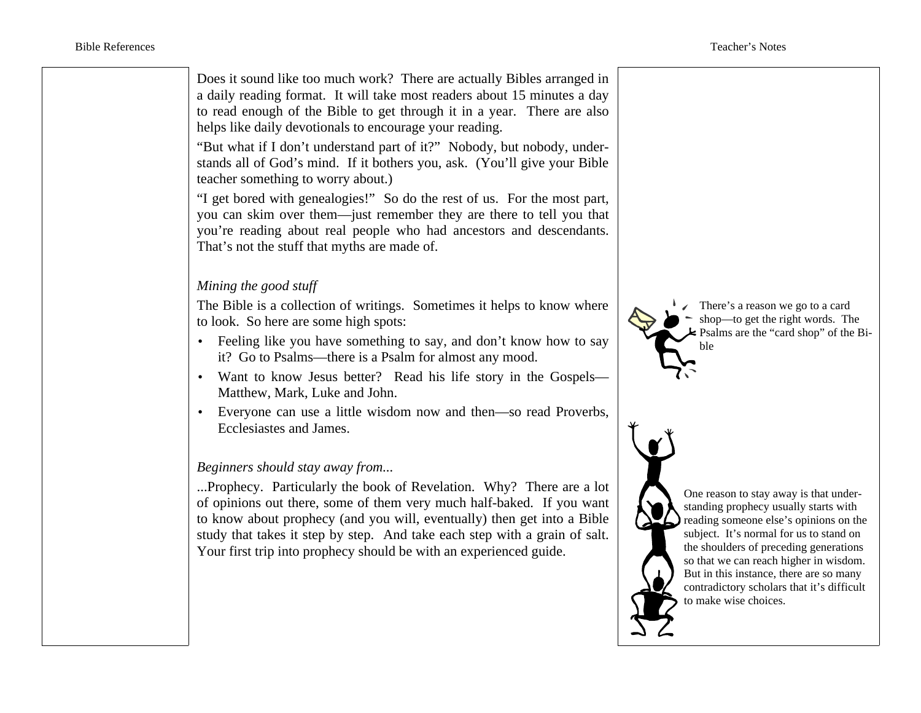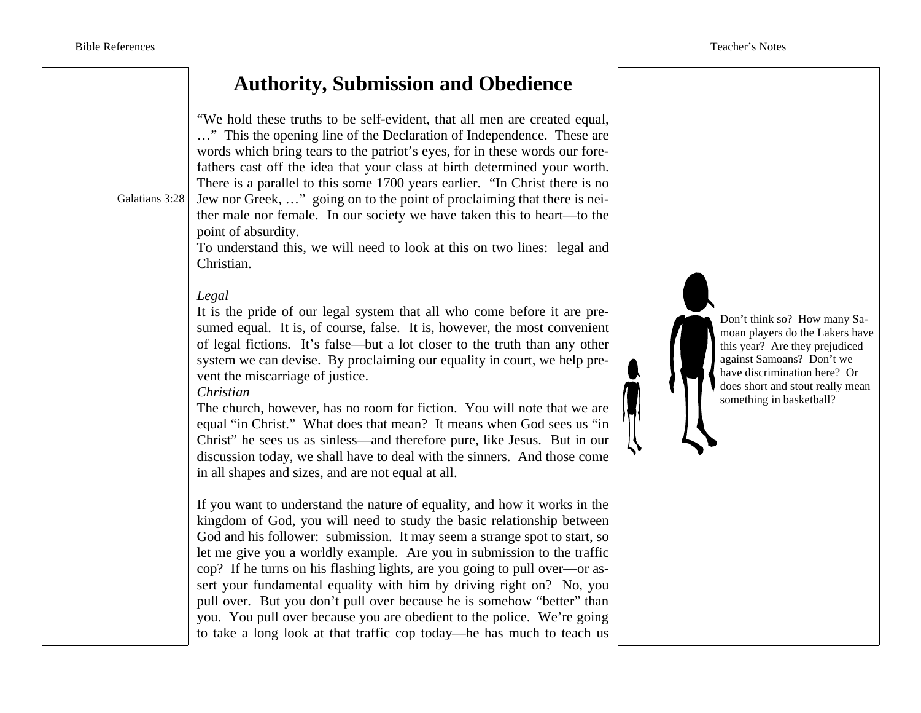## **Authority, Submission and Obedience**

Galatians 3:28 "We hold these truths to be self-evident, that all men are created equal, …" This the opening line of the Declaration of Independence. These are words which bring tears to the patriot's eyes, for in these words our forefathers cast off the idea that your class at birth determined your worth. There is a parallel to this some 1700 years earlier. "In Christ there is no Jew nor Greek, …" going on to the point of proclaiming that there is neither male nor female. In our society we have taken this to heart—to the point of absurdity. To understand this, we will need to look at this on two lines: legal and Christian. *Legal* It is the pride of our legal system that all who come before it are presumed equal. It is, of course, false. It is, however, the most convenient of legal fictions. It's false—but a lot closer to the truth than any other system we can devise. By proclaiming our equality in court, we help prevent the miscarriage of justice. *Christian* The church, however, has no room for fiction. You will note that we are equal "in Christ." What does that mean? It means when God sees us "in Christ" he sees us as sinless—and therefore pure, like Jesus. But in our discussion today, we shall have to deal with the sinners. And those come in all shapes and sizes, and are not equal at all. If you want to understand the nature of equality, and how it works in the kingdom of God, you will need to study the basic relationship between God and his follower: submission. It may seem a strange spot to start, so let me give you a worldly example. Are you in submission to the traffic cop? If he turns on his flashing lights, are you going to pull over—or assert your fundamental equality with him by driving right on? No, you pull over. But you don't pull over because he is somehow "better" than you. You pull over because you are obedient to the police. We're going to take a long look at that traffic cop today—he has much to teach us

Don't think so? How many Samoan players do the Lakers have this year? Are they prejudiced against Samoans? Don't we have discrimination here? Or does short and stout really mean something in basketball?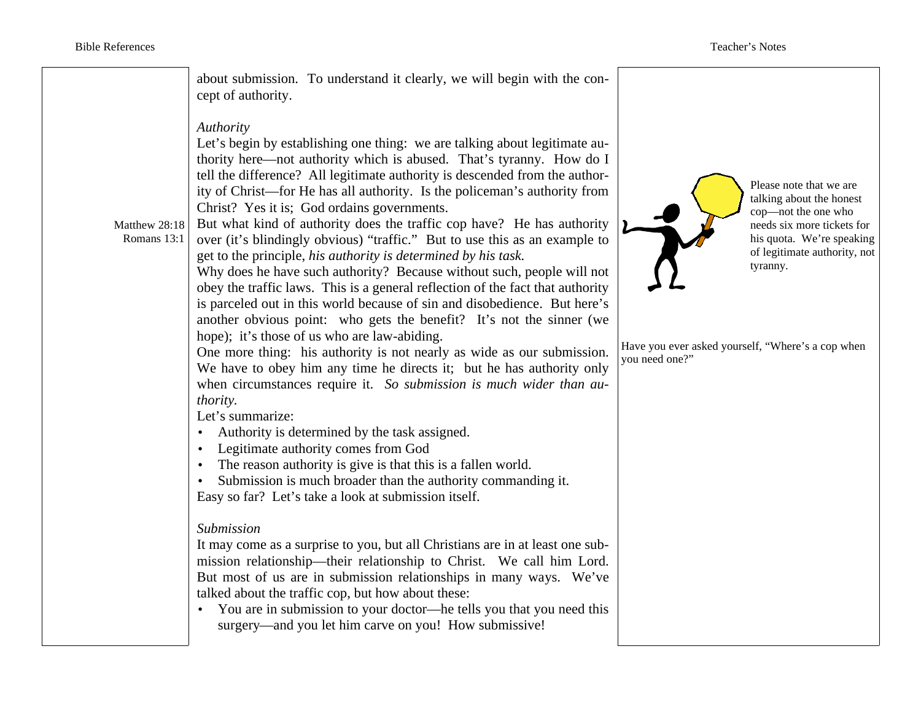Matthew 28:18 Romans 13:1 about submission. To understand it clearly, we will begin with the concept of authority. *Authority* Let's begin by establishing one thing: we are talking about legitimate authority here—not authority which is abused. That's tyranny. How do I tell the difference? All legitimate authority is descended from the authority of Christ—for He has all authority. Is the policeman's authority from Christ? Yes it is; God ordains governments. But what kind of authority does the traffic cop have? He has authority over (it's blindingly obvious) "traffic." But to use this as an example to get to the principle, *his authority is determined by his task.*  Why does he have such authority? Because without such, people will not obey the traffic laws. This is a general reflection of the fact that authority is parceled out in this world because of sin and disobedience. But here's another obvious point: who gets the benefit? It's not the sinner (we hope); it's those of us who are law-abiding. One more thing: his authority is not nearly as wide as our submission. We have to obey him any time he directs it; but he has authority only when circumstances require it. *So submission is much wider than authority.* Let's summarize: • Authority is determined by the task assigned. • Legitimate authority comes from God • The reason authority is give is that this is a fallen world. • Submission is much broader than the authority commanding it. Easy so far? Let's take a look at submission itself. *Submission* It may come as a surprise to you, but all Christians are in at least one submission relationship—their relationship to Christ. We call him Lord. But most of us are in submission relationships in many ways. We've talked about the traffic cop, but how about these: • You are in submission to your doctor—he tells you that you need this surgery—and you let him carve on you! How submissive! Please note that we are talking about the honest cop—not the one who needs six more tickets for his quota. We're speaking of legitimate authority, not tyranny. Have you ever asked yourself, "Where's a cop when you need one?"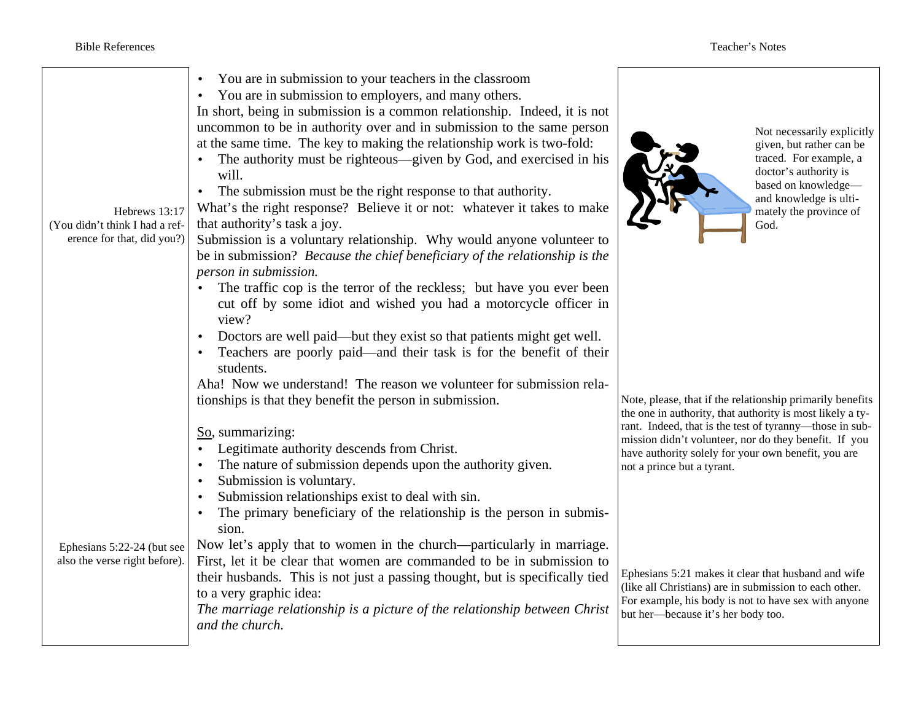| Hebrews 13:17<br>(You didn't think I had a ref-<br>erence for that, did you?) | You are in submission to your teachers in the classroom<br>You are in submission to employers, and many others.<br>In short, being in submission is a common relationship. Indeed, it is not<br>uncommon to be in authority over and in submission to the same person<br>at the same time. The key to making the relationship work is two-fold:<br>The authority must be righteous—given by God, and exercised in his<br>will.<br>The submission must be the right response to that authority.<br>What's the right response? Believe it or not: whatever it takes to make<br>that authority's task a joy.<br>Submission is a voluntary relationship. Why would anyone volunteer to<br>be in submission? Because the chief beneficiary of the relationship is the<br>person in submission.<br>The traffic cop is the terror of the reckless; but have you ever been<br>cut off by some idiot and wished you had a motorcycle officer in<br>view?<br>Doctors are well paid—but they exist so that patients might get well.<br>Teachers are poorly paid—and their task is for the benefit of their<br>students. | Not necessarily explicitly<br>given, but rather can be<br>traced. For example, a<br>doctor's authority is<br>based on knowledge-<br>and knowledge is ulti-<br>mately the province of<br>God.                                                                                                                                    |
|-------------------------------------------------------------------------------|--------------------------------------------------------------------------------------------------------------------------------------------------------------------------------------------------------------------------------------------------------------------------------------------------------------------------------------------------------------------------------------------------------------------------------------------------------------------------------------------------------------------------------------------------------------------------------------------------------------------------------------------------------------------------------------------------------------------------------------------------------------------------------------------------------------------------------------------------------------------------------------------------------------------------------------------------------------------------------------------------------------------------------------------------------------------------------------------------------------|---------------------------------------------------------------------------------------------------------------------------------------------------------------------------------------------------------------------------------------------------------------------------------------------------------------------------------|
|                                                                               | Aha! Now we understand! The reason we volunteer for submission rela-<br>tionships is that they benefit the person in submission.<br>So, summarizing:<br>Legitimate authority descends from Christ.<br>The nature of submission depends upon the authority given.<br>$\bullet$<br>Submission is voluntary.<br>$\bullet$<br>Submission relationships exist to deal with sin.<br>The primary beneficiary of the relationship is the person in submis-<br>sion.                                                                                                                                                                                                                                                                                                                                                                                                                                                                                                                                                                                                                                                  | Note, please, that if the relationship primarily benefits<br>the one in authority, that authority is most likely a ty-<br>rant. Indeed, that is the test of tyranny—those in sub-<br>mission didn't volunteer, nor do they benefit. If you<br>have authority solely for your own benefit, you are<br>not a prince but a tyrant. |
| Ephesians 5:22-24 (but see<br>also the verse right before).                   | Now let's apply that to women in the church—particularly in marriage.<br>First, let it be clear that women are commanded to be in submission to<br>their husbands. This is not just a passing thought, but is specifically tied<br>to a very graphic idea:<br>The marriage relationship is a picture of the relationship between Christ<br>and the church.                                                                                                                                                                                                                                                                                                                                                                                                                                                                                                                                                                                                                                                                                                                                                   | Ephesians 5:21 makes it clear that husband and wife<br>(like all Christians) are in submission to each other.<br>For example, his body is not to have sex with anyone<br>but her-because it's her body too.                                                                                                                     |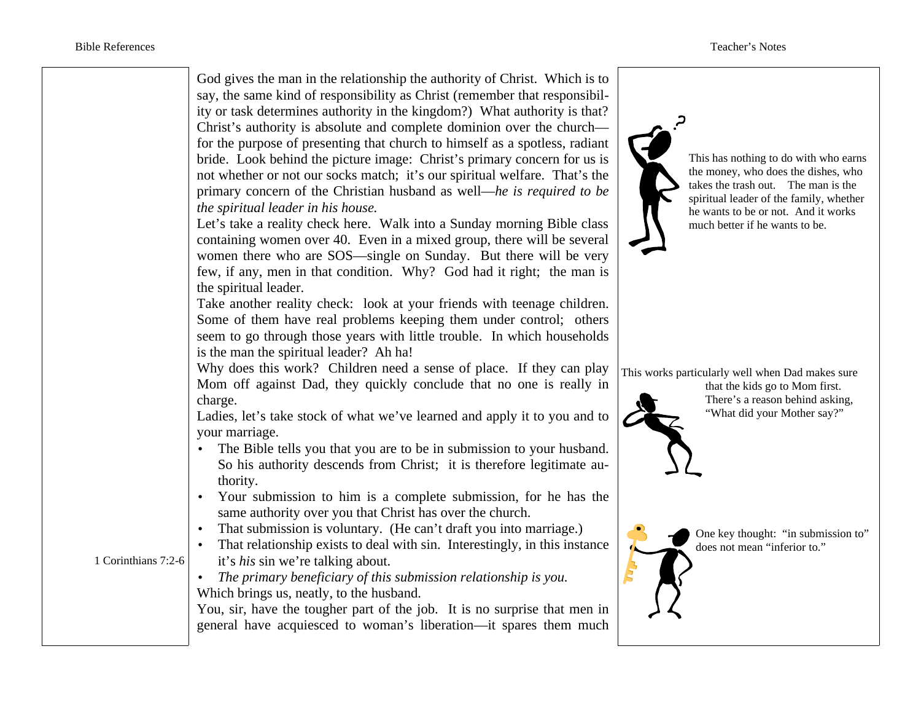|                     | God gives the man in the relationship the authority of Christ. Which is to<br>say, the same kind of responsibility as Christ (remember that responsibil-<br>ity or task determines authority in the kingdom?) What authority is that?<br>Christ's authority is absolute and complete dominion over the church—<br>for the purpose of presenting that church to himself as a spotless, radiant<br>bride. Look behind the picture image: Christ's primary concern for us is<br>not whether or not our socks match; it's our spiritual welfare. That's the<br>primary concern of the Christian husband as well—he is required to be<br>the spiritual leader in his house.<br>Let's take a reality check here. Walk into a Sunday morning Bible class<br>containing women over 40. Even in a mixed group, there will be several<br>women there who are SOS—single on Sunday. But there will be very<br>few, if any, men in that condition. Why? God had it right; the man is<br>the spiritual leader.<br>Take another reality check: look at your friends with teenage children.<br>Some of them have real problems keeping them under control; others | This has nothing to do with who earns<br>the money, who does the dishes, who<br>takes the trash out. The man is the<br>spiritual leader of the family, whether<br>he wants to be or not. And it works<br>much better if he wants to be. |
|---------------------|----------------------------------------------------------------------------------------------------------------------------------------------------------------------------------------------------------------------------------------------------------------------------------------------------------------------------------------------------------------------------------------------------------------------------------------------------------------------------------------------------------------------------------------------------------------------------------------------------------------------------------------------------------------------------------------------------------------------------------------------------------------------------------------------------------------------------------------------------------------------------------------------------------------------------------------------------------------------------------------------------------------------------------------------------------------------------------------------------------------------------------------------------|-----------------------------------------------------------------------------------------------------------------------------------------------------------------------------------------------------------------------------------------|
|                     | seem to go through those years with little trouble. In which households                                                                                                                                                                                                                                                                                                                                                                                                                                                                                                                                                                                                                                                                                                                                                                                                                                                                                                                                                                                                                                                                            |                                                                                                                                                                                                                                         |
|                     | is the man the spiritual leader? Ah ha!<br>Why does this work? Children need a sense of place. If they can play                                                                                                                                                                                                                                                                                                                                                                                                                                                                                                                                                                                                                                                                                                                                                                                                                                                                                                                                                                                                                                    | This works particularly well when Dad makes sure                                                                                                                                                                                        |
|                     | Mom off against Dad, they quickly conclude that no one is really in                                                                                                                                                                                                                                                                                                                                                                                                                                                                                                                                                                                                                                                                                                                                                                                                                                                                                                                                                                                                                                                                                | that the kids go to Mom first.                                                                                                                                                                                                          |
|                     | charge.<br>Ladies, let's take stock of what we've learned and apply it to you and to                                                                                                                                                                                                                                                                                                                                                                                                                                                                                                                                                                                                                                                                                                                                                                                                                                                                                                                                                                                                                                                               | There's a reason behind asking,<br>"What did your Mother say?"                                                                                                                                                                          |
|                     | your marriage.                                                                                                                                                                                                                                                                                                                                                                                                                                                                                                                                                                                                                                                                                                                                                                                                                                                                                                                                                                                                                                                                                                                                     |                                                                                                                                                                                                                                         |
|                     | The Bible tells you that you are to be in submission to your husband.<br>So his authority descends from Christ; it is therefore legitimate au-                                                                                                                                                                                                                                                                                                                                                                                                                                                                                                                                                                                                                                                                                                                                                                                                                                                                                                                                                                                                     |                                                                                                                                                                                                                                         |
|                     | thority.<br>Your submission to him is a complete submission, for he has the<br>$\bullet$                                                                                                                                                                                                                                                                                                                                                                                                                                                                                                                                                                                                                                                                                                                                                                                                                                                                                                                                                                                                                                                           |                                                                                                                                                                                                                                         |
|                     | same authority over you that Christ has over the church.                                                                                                                                                                                                                                                                                                                                                                                                                                                                                                                                                                                                                                                                                                                                                                                                                                                                                                                                                                                                                                                                                           |                                                                                                                                                                                                                                         |
|                     | That submission is voluntary. (He can't draft you into marriage.)                                                                                                                                                                                                                                                                                                                                                                                                                                                                                                                                                                                                                                                                                                                                                                                                                                                                                                                                                                                                                                                                                  | One key thought: "in submission to"                                                                                                                                                                                                     |
| 1 Corinthians 7:2-6 | That relationship exists to deal with sin. Interestingly, in this instance                                                                                                                                                                                                                                                                                                                                                                                                                                                                                                                                                                                                                                                                                                                                                                                                                                                                                                                                                                                                                                                                         | does not mean "inferior to."                                                                                                                                                                                                            |
|                     | it's his sin we're talking about.<br>The primary beneficiary of this submission relationship is you.                                                                                                                                                                                                                                                                                                                                                                                                                                                                                                                                                                                                                                                                                                                                                                                                                                                                                                                                                                                                                                               |                                                                                                                                                                                                                                         |
|                     | Which brings us, neatly, to the husband.                                                                                                                                                                                                                                                                                                                                                                                                                                                                                                                                                                                                                                                                                                                                                                                                                                                                                                                                                                                                                                                                                                           |                                                                                                                                                                                                                                         |
|                     | You, sir, have the tougher part of the job. It is no surprise that men in                                                                                                                                                                                                                                                                                                                                                                                                                                                                                                                                                                                                                                                                                                                                                                                                                                                                                                                                                                                                                                                                          |                                                                                                                                                                                                                                         |
|                     | general have acquiesced to woman's liberation—it spares them much                                                                                                                                                                                                                                                                                                                                                                                                                                                                                                                                                                                                                                                                                                                                                                                                                                                                                                                                                                                                                                                                                  |                                                                                                                                                                                                                                         |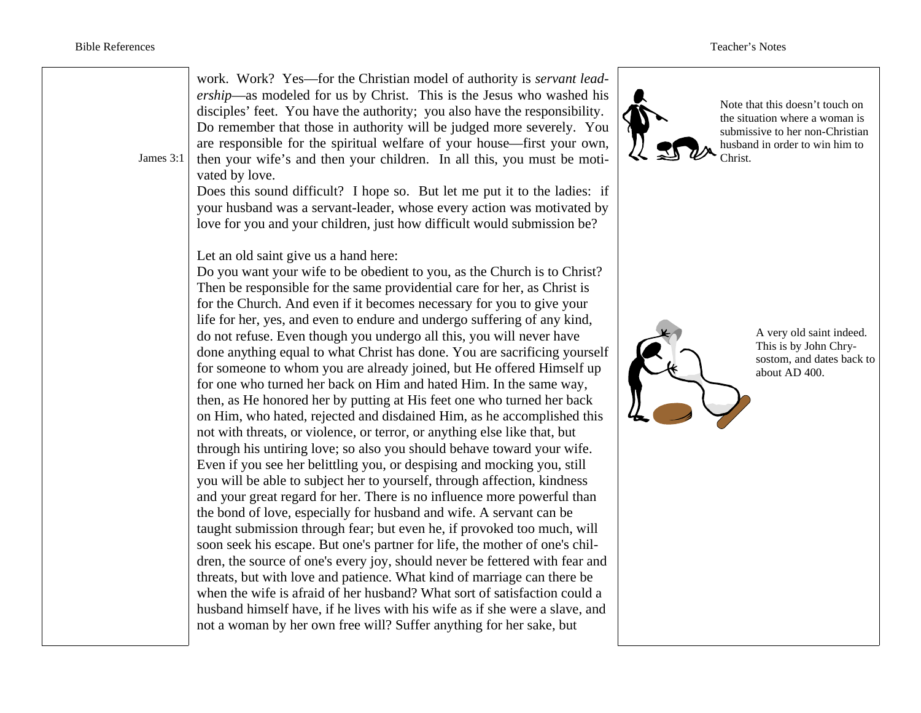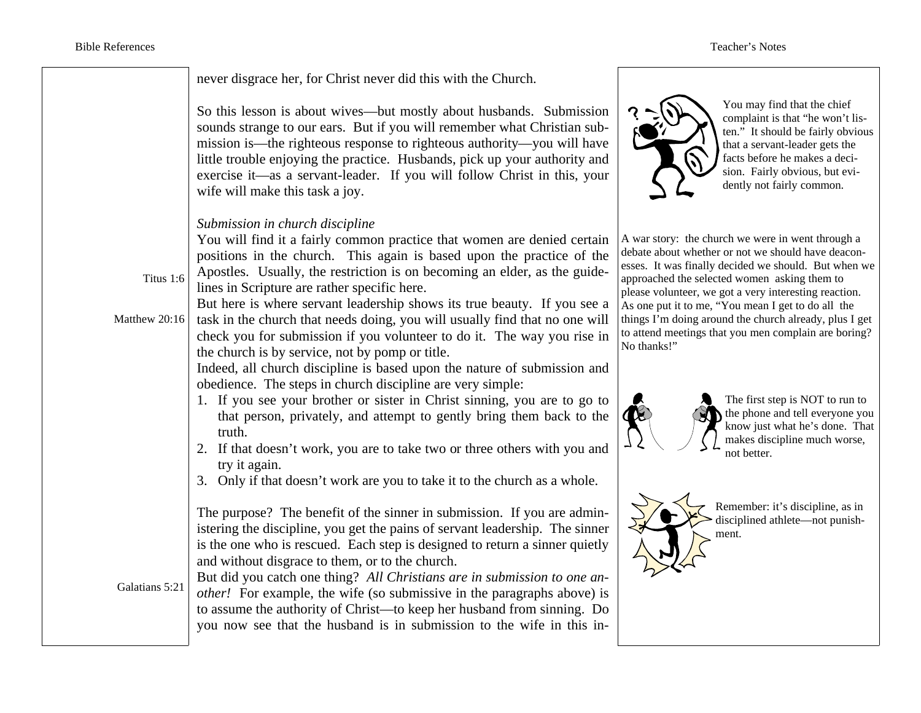|                            | never disgrace her, for Christ never did this with the Church.                                                                                                                                                                                                                                                                                                                                                                                                                                                                                                                                                                                                                        |                                                                                                                                                                                                                                                                                                                                                                                                                                                  |
|----------------------------|---------------------------------------------------------------------------------------------------------------------------------------------------------------------------------------------------------------------------------------------------------------------------------------------------------------------------------------------------------------------------------------------------------------------------------------------------------------------------------------------------------------------------------------------------------------------------------------------------------------------------------------------------------------------------------------|--------------------------------------------------------------------------------------------------------------------------------------------------------------------------------------------------------------------------------------------------------------------------------------------------------------------------------------------------------------------------------------------------------------------------------------------------|
|                            | So this lesson is about wives—but mostly about husbands. Submission<br>sounds strange to our ears. But if you will remember what Christian sub-<br>mission is—the righteous response to righteous authority—you will have<br>little trouble enjoying the practice. Husbands, pick up your authority and<br>exercise it—as a servant-leader. If you will follow Christ in this, your<br>wife will make this task a joy.                                                                                                                                                                                                                                                                | You may find that the chief<br>complaint is that "he won't l<br>ten." It should be fairly obv<br>that a servant-leader gets the<br>facts before he makes a deci<br>sion. Fairly obvious, but evi<br>dently not fairly common.                                                                                                                                                                                                                    |
| Titus 1:6<br>Matthew 20:16 | Submission in church discipline<br>You will find it a fairly common practice that women are denied certain<br>positions in the church. This again is based upon the practice of the<br>Apostles. Usually, the restriction is on becoming an elder, as the guide-<br>lines in Scripture are rather specific here.<br>But here is where servant leadership shows its true beauty. If you see a<br>task in the church that needs doing, you will usually find that no one will<br>check you for submission if you volunteer to do it. The way you rise in<br>the church is by service, not by pomp or title.<br>Indeed, all church discipline is based upon the nature of submission and | A war story: the church we were in went through<br>debate about whether or not we should have deacd<br>esses. It was finally decided we should. But when<br>approached the selected women asking them to<br>please volunteer, we got a very interesting reaction<br>As one put it to me, "You mean I get to do all the<br>things I'm doing around the church already, plus I<br>to attend meetings that you men complain are bori<br>No thanks!" |
|                            | obedience. The steps in church discipline are very simple:<br>1. If you see your brother or sister in Christ sinning, you are to go to<br>that person, privately, and attempt to gently bring them back to the<br>truth.<br>2. If that doesn't work, you are to take two or three others with you and<br>try it again.<br>3. Only if that doesn't work are you to take it to the church as a whole.                                                                                                                                                                                                                                                                                   | The first step is NOT to run<br>the phone and tell everyone<br>know just what he's done.<br>makes discipline much wor:<br>not better.                                                                                                                                                                                                                                                                                                            |
| Galatians 5:21             | The purpose? The benefit of the sinner in submission. If you are admin-<br>istering the discipline, you get the pains of servant leadership. The sinner<br>is the one who is rescued. Each step is designed to return a sinner quietly<br>and without disgrace to them, or to the church.<br>But did you catch one thing? All Christians are in submission to one an-<br><i>other!</i> For example, the wife (so submissive in the paragraphs above) is<br>to assume the authority of Christ—to keep her husband from sinning. Do<br>you now see that the husband is in submission to the wife in this in-                                                                            | Remember: it's discipline, as<br>disciplined athlete—not punis<br>ment.                                                                                                                                                                                                                                                                                                                                                                          |

int is that "he won't lisshould be fairly obvious ervant-leader gets the fore he makes a deciairly obvious, but eviot fairly common.

ere in went through a ve should have deaconwe should. But when we en asking them to y interesting reaction. an I get to do all the hurch already, plus I get  $t$  en complain are boring?

> st step is NOT to run to one and tell everyone you ust what he's done. That discipline much worse, er.

er: it's discipline, as in ed athlete—not punish-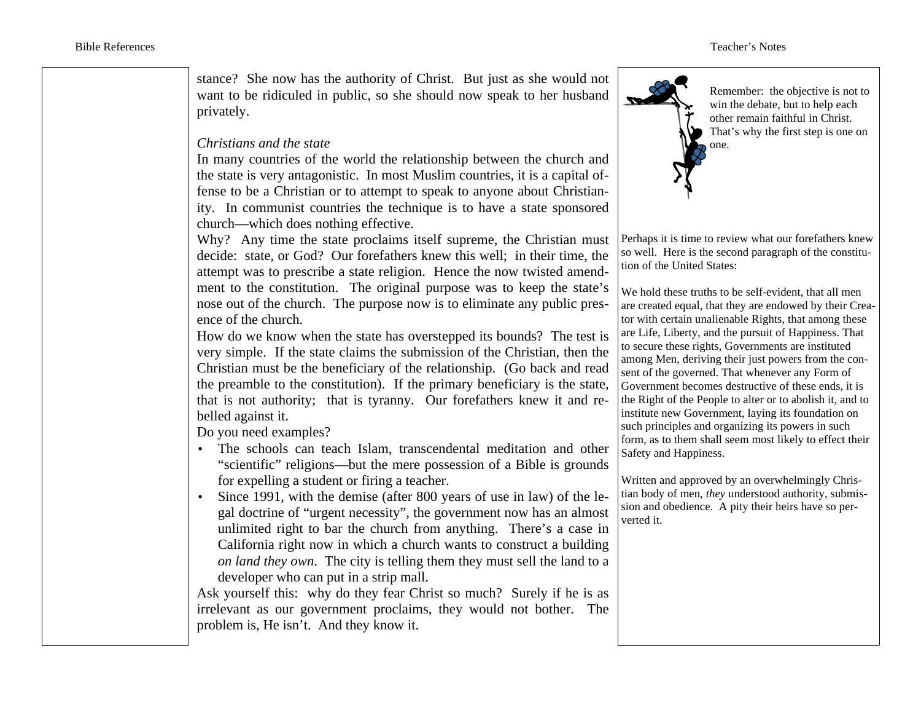stance? She now has the authority of Christ. But just as she would not want to be ridiculed in public, so she should now speak to her husband privately.

#### *Christians and the state*

In many countries of the world the relationship between the church and the state is very antagonistic. In most Muslim countries, it is a capital offense to be a Christian or to attempt to speak to anyone about Christianity. In communist countries the technique is to have a state sponsored church—which does nothing effective.

Why? Any time the state proclaims itself supreme, the Christian must decide: state, or God? Our forefathers knew this well; in their time, the attempt was to prescribe a state religion. Hence the now twisted amendment to the constitution. The original purpose was to keep the state's nose out of the church. The purpose now is to eliminate any public presence of the church.

How do we know when the state has overstepped its bounds? The test is very simple. If the state claims the submission of the Christian, then the Christian must be the beneficiary of the relationship. (Go back and read the preamble to the constitution). If the primary beneficiary is the state, that is not authority; that is tyranny. Our forefathers knew it and rebelled against it.

Do you need examples?

- The schools can teach Islam, transcendental meditation and other "scientific" religions—but the mere possession of a Bible is grounds for expelling a student or firing a teacher.
- Since 1991, with the demise (after 800 years of use in law) of the legal doctrine of "urgent necessity", the government now has an almost unlimited right to bar the church from anything. There's a case in California right now in which a church wants to construct a building *on land they own*. The city is telling them they must sell the land to a developer who can put in a strip mall.

Ask yourself this: why do they fear Christ so much? Surely if he is as irrelevant as our government proclaims, they would not bother. The problem is, He isn't. And they know it.



Remember: the objective is not to win the debate, but to help each other remain faithful in Christ. That's why the first step is one on one.

Perhaps it is time to review what our forefathers knew so well. Here is the second paragraph of the constitution of the United States:

We hold these truths to be self-evident, that all men are created equal, that they are endowed by their Creator with certain unalienable Rights, that among these are Life, Liberty, and the pursuit of Happiness. That to secure these rights, Governments are instituted among Men, deriving their just powers from the consent of the governed. That whenever any Form of Government becomes destructive of these ends, it is the Right of the People to alter or to abolish it, and to institute new Government, laying its foundation on such principles and organizing its powers in such form, as to them shall seem most likely to effect their Safety and Happiness.

Written and approved by an overwhelmingly Christian body of men, *they* understood authority, submission and obedience. A pity their heirs have so perverted it.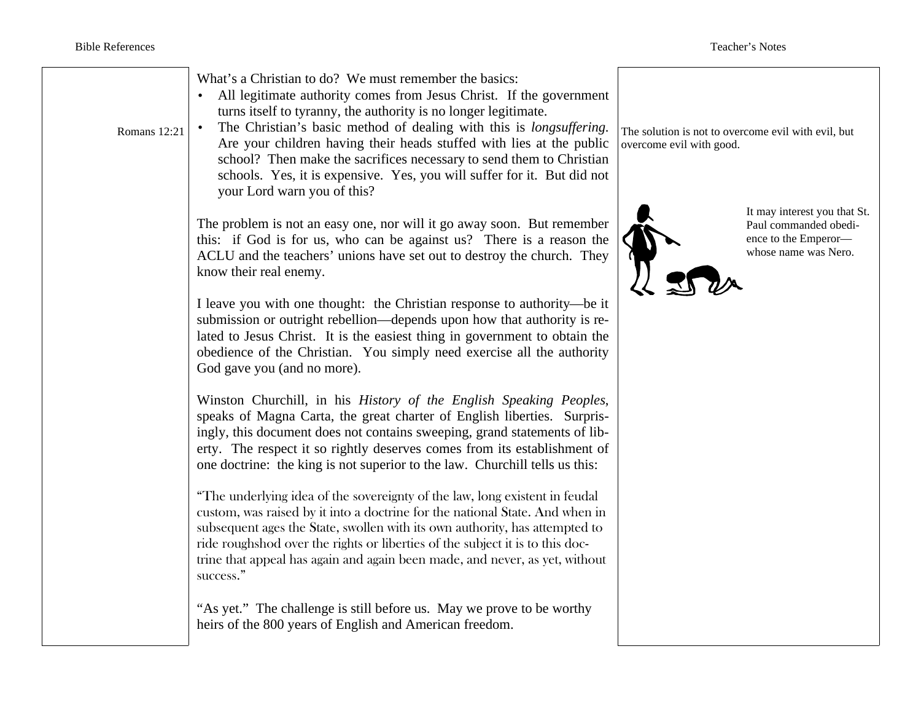| Romans 12:21 | What's a Christian to do? We must remember the basics:<br>All legitimate authority comes from Jesus Christ. If the government<br>turns itself to tyranny, the authority is no longer legitimate.<br>The Christian's basic method of dealing with this is longsuffering.<br>Are your children having their heads stuffed with lies at the public<br>school? Then make the sacrifices necessary to send them to Christian<br>schools. Yes, it is expensive. Yes, you will suffer for it. But did not<br>your Lord warn you of this? | The solution is not to overcome evil with evil, but<br>overcome evil with good. |                                                                                                       |
|--------------|-----------------------------------------------------------------------------------------------------------------------------------------------------------------------------------------------------------------------------------------------------------------------------------------------------------------------------------------------------------------------------------------------------------------------------------------------------------------------------------------------------------------------------------|---------------------------------------------------------------------------------|-------------------------------------------------------------------------------------------------------|
|              | The problem is not an easy one, nor will it go away soon. But remember<br>this: if God is for us, who can be against us? There is a reason the<br>ACLU and the teachers' unions have set out to destroy the church. They<br>know their real enemy.                                                                                                                                                                                                                                                                                |                                                                                 | It may interest you that St.<br>Paul commanded obedi-<br>ence to the Emperor-<br>whose name was Nero. |
|              | I leave you with one thought: the Christian response to authority—be it<br>submission or outright rebellion—depends upon how that authority is re-<br>lated to Jesus Christ. It is the easiest thing in government to obtain the<br>obedience of the Christian. You simply need exercise all the authority<br>God gave you (and no more).                                                                                                                                                                                         |                                                                                 |                                                                                                       |
|              | Winston Churchill, in his History of the English Speaking Peoples,<br>speaks of Magna Carta, the great charter of English liberties. Surpris-<br>ingly, this document does not contains sweeping, grand statements of lib-<br>erty. The respect it so rightly deserves comes from its establishment of<br>one doctrine: the king is not superior to the law. Churchill tells us this:                                                                                                                                             |                                                                                 |                                                                                                       |
|              | "The underlying idea of the sovereignty of the law, long existent in feudal<br>custom, was raised by it into a doctrine for the national State. And when in<br>subsequent ages the State, swollen with its own authority, has attempted to<br>ride roughshod over the rights or liberties of the subject it is to this doc-<br>trine that appeal has again and again been made, and never, as yet, without<br>success."                                                                                                           |                                                                                 |                                                                                                       |
|              | "As yet." The challenge is still before us. May we prove to be worthy<br>heirs of the 800 years of English and American freedom.                                                                                                                                                                                                                                                                                                                                                                                                  |                                                                                 |                                                                                                       |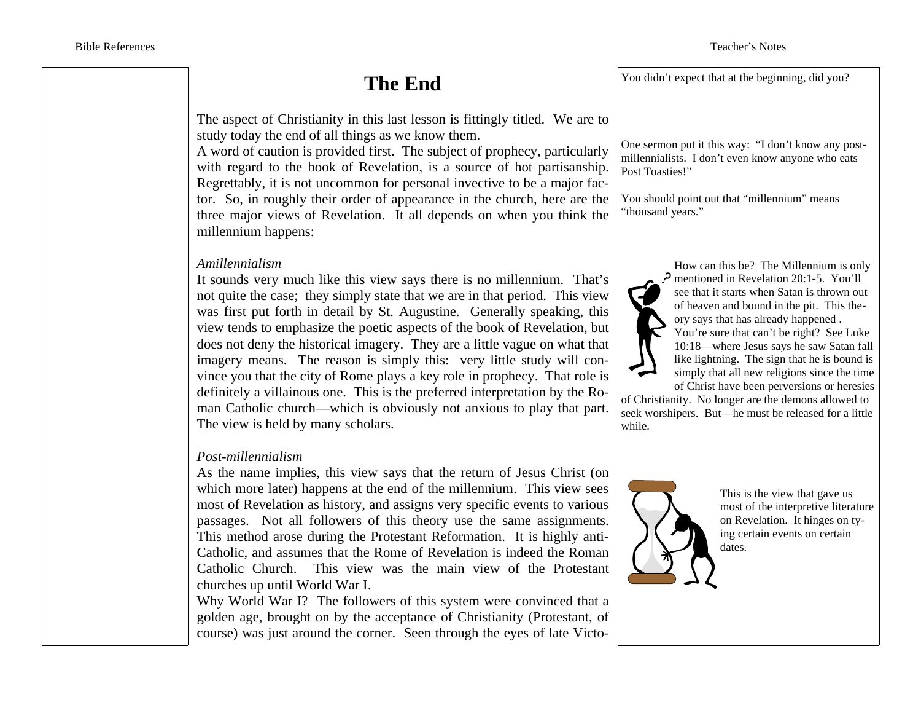## **The End**

The aspect of Christianity in this last lesson is fittingly titled. We are to study today the end of all things as we know them.

A word of caution is provided first. The subject of prophecy, particularly with regard to the book of Revelation, is a source of hot partisanship. Regrettably, it is not uncommon for personal invective to be a major factor. So, in roughly their order of appearance in the church, here are the three major views of Revelation. It all depends on when you think the millennium happens:

#### *Amillennialism*

It sounds very much like this view says there is no millennium. That's not quite the case; they simply state that we are in that period. This view was first put forth in detail by St. Augustine. Generally speaking, this view tends to emphasize the poetic aspects of the book of Revelation, but does not deny the historical imagery. They are a little vague on what that imagery means. The reason is simply this: very little study will convince you that the city of Rome plays a key role in prophecy. That role is definitely a villainous one. This is the preferred interpretation by the Roman Catholic church—which is obviously not anxious to play that part. The view is held by many scholars.

#### *Post-millennialism*

As the name implies, this view says that the return of Jesus Christ (on which more later) happens at the end of the millennium. This view sees most of Revelation as history, and assigns very specific events to various passages. Not all followers of this theory use the same assignments. This method arose during the Protestant Reformation. It is highly anti-Catholic, and assumes that the Rome of Revelation is indeed the Roman Catholic Church. This view was the main view of the Protestant churches up until World War I.

Why World War I? The followers of this system were convinced that a golden age, brought on by the acceptance of Christianity (Protestant, of course) was just around the corner. Seen through the eyes of late Victo-

You didn't expect that at the beginning, did you?

One sermon put it this way: "I don't know any postmillennialists. I don't even know anyone who eats Post Toasties!"

You should point out that "millennium" means "thousand years."



How can this be? The Millennium is only mentioned in Revelation 20:1-5. You'll see that it starts when Satan is thrown out of heaven and bound in the pit. This theory says that has already happened .

You're sure that can't be right? See Luke 10:18—where Jesus says he saw Satan fall like lightning. The sign that he is bound is simply that all new religions since the time of Christ have been perversions or heresies

of Christianity. No longer are the demons allowed to seek worshipers. But—he must be released for a little while.



This is the view that gave us most of the interpretive literature on Revelation. It hinges on tying certain events on certain dates.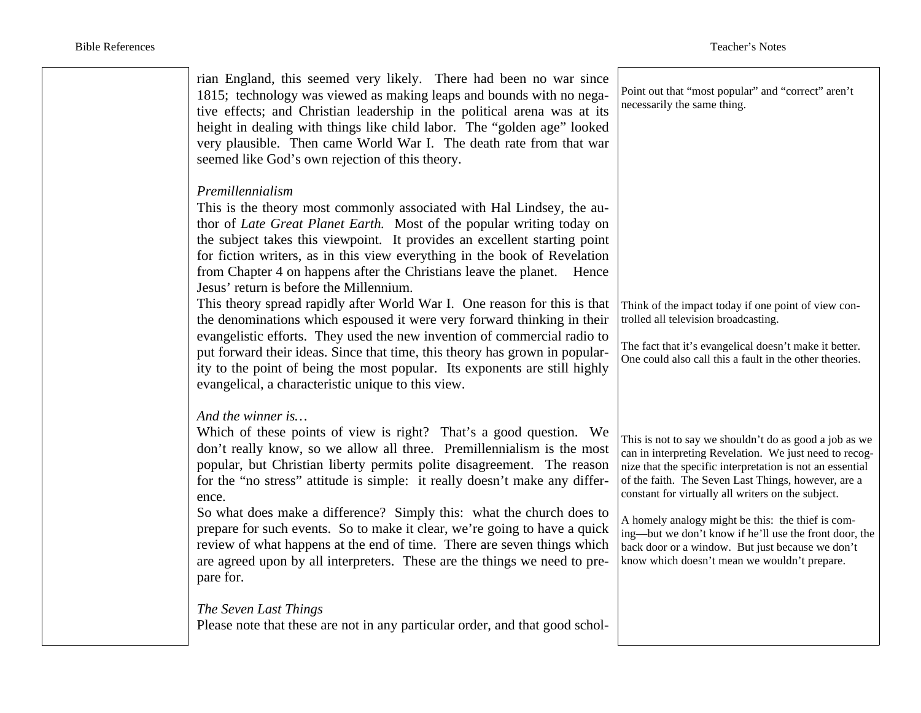| rian England, this seemed very likely. There had been no war since<br>1815; technology was viewed as making leaps and bounds with no nega-<br>tive effects; and Christian leadership in the political arena was at its<br>height in dealing with things like child labor. The "golden age" looked<br>very plausible. Then came World War I. The death rate from that war<br>seemed like God's own rejection of this theory.                                                                                                                                                                                                                                                                                                                                                                                                                                                                                 | Point out that "most popular" and "correct" aren't<br>necessarily the same thing.                                                                                                                                                                                                                                                                                                                                                                                                                             |
|-------------------------------------------------------------------------------------------------------------------------------------------------------------------------------------------------------------------------------------------------------------------------------------------------------------------------------------------------------------------------------------------------------------------------------------------------------------------------------------------------------------------------------------------------------------------------------------------------------------------------------------------------------------------------------------------------------------------------------------------------------------------------------------------------------------------------------------------------------------------------------------------------------------|---------------------------------------------------------------------------------------------------------------------------------------------------------------------------------------------------------------------------------------------------------------------------------------------------------------------------------------------------------------------------------------------------------------------------------------------------------------------------------------------------------------|
| Premillennialism<br>This is the theory most commonly associated with Hal Lindsey, the au-<br>thor of Late Great Planet Earth. Most of the popular writing today on<br>the subject takes this viewpoint. It provides an excellent starting point<br>for fiction writers, as in this view everything in the book of Revelation<br>from Chapter 4 on happens after the Christians leave the planet.<br>Hence<br>Jesus' return is before the Millennium.<br>This theory spread rapidly after World War I. One reason for this is that<br>the denominations which espoused it were very forward thinking in their<br>evangelistic efforts. They used the new invention of commercial radio to<br>put forward their ideas. Since that time, this theory has grown in popular-<br>ity to the point of being the most popular. Its exponents are still highly<br>evangelical, a characteristic unique to this view. | Think of the impact today if one point of view con-<br>trolled all television broadcasting.<br>The fact that it's evangelical doesn't make it better.<br>One could also call this a fault in the other theories.                                                                                                                                                                                                                                                                                              |
| And the winner is<br>Which of these points of view is right? That's a good question. We<br>don't really know, so we allow all three. Premillennialism is the most<br>popular, but Christian liberty permits polite disagreement. The reason<br>for the "no stress" attitude is simple: it really doesn't make any differ-<br>ence.<br>So what does make a difference? Simply this: what the church does to<br>prepare for such events. So to make it clear, we're going to have a quick<br>review of what happens at the end of time. There are seven things which<br>are agreed upon by all interpreters. These are the things we need to pre-<br>pare for.                                                                                                                                                                                                                                                | This is not to say we shouldn't do as good a job as we<br>can in interpreting Revelation. We just need to recog-<br>nize that the specific interpretation is not an essential<br>of the faith. The Seven Last Things, however, are a<br>constant for virtually all writers on the subject.<br>A homely analogy might be this: the thief is com-<br>ing—but we don't know if he'll use the front door, the<br>back door or a window. But just because we don't<br>know which doesn't mean we wouldn't prepare. |
| The Seven Last Things<br>Please note that these are not in any particular order, and that good schol-                                                                                                                                                                                                                                                                                                                                                                                                                                                                                                                                                                                                                                                                                                                                                                                                       |                                                                                                                                                                                                                                                                                                                                                                                                                                                                                                               |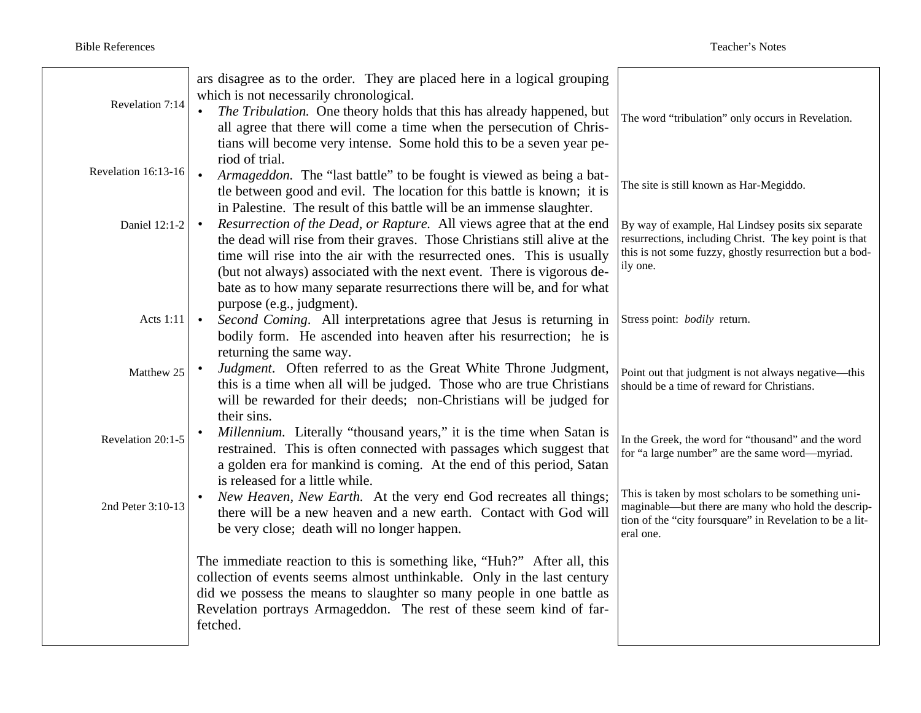| Revelation 7:14     | ars disagree as to the order. They are placed here in a logical grouping<br>which is not necessarily chronological.<br>• The Tribulation. One theory holds that this has already happened, but<br>all agree that there will come a time when the persecution of Chris-<br>tians will become very intense. Some hold this to be a seven year pe-                                               | The word "tribulation" only occurs in Revelation.                                                                                                                                   |
|---------------------|-----------------------------------------------------------------------------------------------------------------------------------------------------------------------------------------------------------------------------------------------------------------------------------------------------------------------------------------------------------------------------------------------|-------------------------------------------------------------------------------------------------------------------------------------------------------------------------------------|
| Revelation 16:13-16 | riod of trial.<br>Armageddon. The "last battle" to be fought is viewed as being a bat-<br>$\bullet$<br>tle between good and evil. The location for this battle is known; it is<br>in Palestine. The result of this battle will be an immense slaughter.                                                                                                                                       | The site is still known as Har-Megiddo.                                                                                                                                             |
| Daniel 12:1-2       | Resurrection of the Dead, or Rapture. All views agree that at the end<br>$\bullet$<br>the dead will rise from their graves. Those Christians still alive at the<br>time will rise into the air with the resurrected ones. This is usually<br>(but not always) associated with the next event. There is vigorous de-<br>bate as to how many separate resurrections there will be, and for what | By way of example, Hal Lindsey posits six separate<br>resurrections, including Christ. The key point is that<br>this is not some fuzzy, ghostly resurrection but a bod-<br>ily one. |
| Acts 1:11           | purpose (e.g., judgment).<br>Second Coming. All interpretations agree that Jesus is returning in<br>$\bullet$<br>bodily form. He ascended into heaven after his resurrection; he is<br>returning the same way.                                                                                                                                                                                | Stress point: bodily return.                                                                                                                                                        |
| Matthew 25          | Judgment. Often referred to as the Great White Throne Judgment,<br>this is a time when all will be judged. Those who are true Christians<br>will be rewarded for their deeds; non-Christians will be judged for<br>their sins.                                                                                                                                                                | Point out that judgment is not always negative-this<br>should be a time of reward for Christians.                                                                                   |
| Revelation 20:1-5   | Millennium. Literally "thousand years," it is the time when Satan is<br>restrained. This is often connected with passages which suggest that<br>a golden era for mankind is coming. At the end of this period, Satan<br>is released for a little while.                                                                                                                                       | In the Greek, the word for "thousand" and the word<br>for "a large number" are the same word—myriad.                                                                                |
| 2nd Peter 3:10-13   | New Heaven, New Earth. At the very end God recreates all things;<br>there will be a new heaven and a new earth. Contact with God will<br>be very close; death will no longer happen.                                                                                                                                                                                                          | This is taken by most scholars to be something uni-<br>maginable—but there are many who hold the descrip-<br>tion of the "city foursquare" in Revelation to be a lit-<br>eral one.  |
|                     | The immediate reaction to this is something like, "Huh?" After all, this<br>collection of events seems almost unthinkable. Only in the last century<br>did we possess the means to slaughter so many people in one battle as<br>Revelation portrays Armageddon. The rest of these seem kind of far-<br>fetched.                                                                               |                                                                                                                                                                                     |